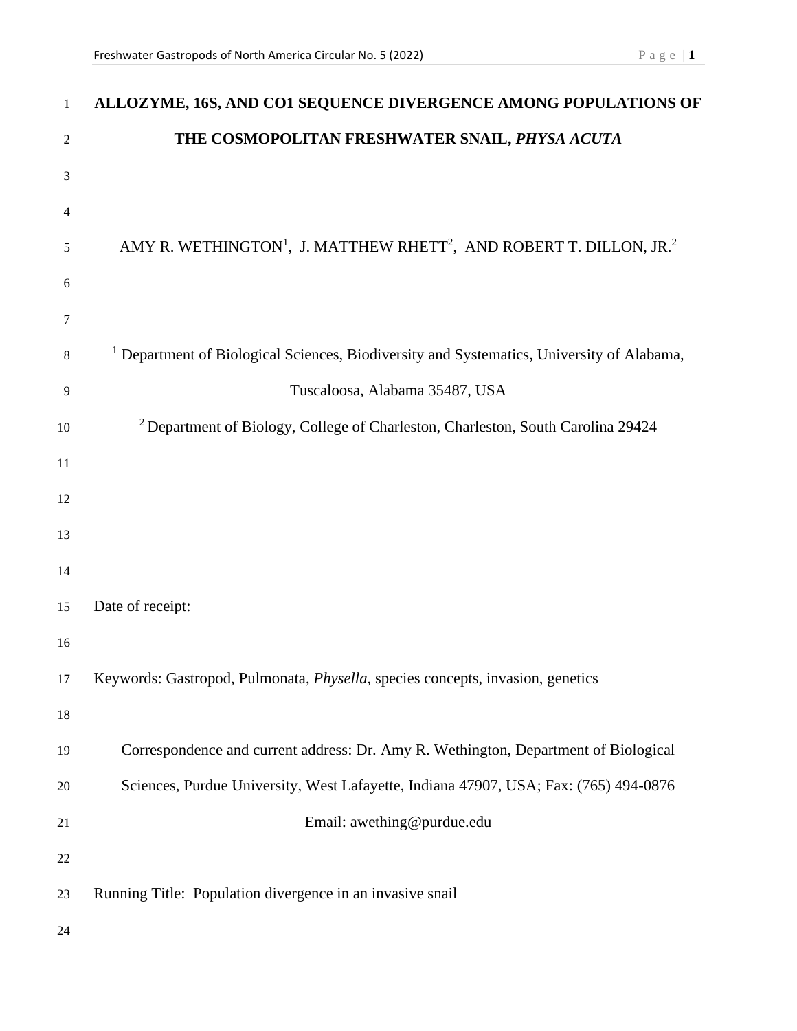| $\mathbf{1}$   | ALLOZYME, 16S, AND CO1 SEQUENCE DIVERGENCE AMONG POPULATIONS OF                                         |
|----------------|---------------------------------------------------------------------------------------------------------|
| $\mathfrak{2}$ | THE COSMOPOLITAN FRESHWATER SNAIL, PHYSA ACUTA                                                          |
| 3              |                                                                                                         |
| $\overline{4}$ |                                                                                                         |
| 5              | AMY R. WETHINGTON <sup>1</sup> , J. MATTHEW RHETT <sup>2</sup> , AND ROBERT T. DILLON, JR. <sup>2</sup> |
| 6              |                                                                                                         |
| $\tau$         |                                                                                                         |
| 8              | <sup>1</sup> Department of Biological Sciences, Biodiversity and Systematics, University of Alabama,    |
| 9              | Tuscaloosa, Alabama 35487, USA                                                                          |
| $10\,$         | <sup>2</sup> Department of Biology, College of Charleston, Charleston, South Carolina 29424             |
| 11             |                                                                                                         |
| 12             |                                                                                                         |
| 13             |                                                                                                         |
| 14             |                                                                                                         |
| 15             | Date of receipt:                                                                                        |
| 16             |                                                                                                         |
| 17             | Keywords: Gastropod, Pulmonata, Physella, species concepts, invasion, genetics                          |
| 18             |                                                                                                         |
| 19             | Correspondence and current address: Dr. Amy R. Wethington, Department of Biological                     |
| 20             | Sciences, Purdue University, West Lafayette, Indiana 47907, USA; Fax: (765) 494-0876                    |
| 21             | Email: awething@purdue.edu                                                                              |
| 22             |                                                                                                         |
| 23             | Running Title: Population divergence in an invasive snail                                               |
| 24             |                                                                                                         |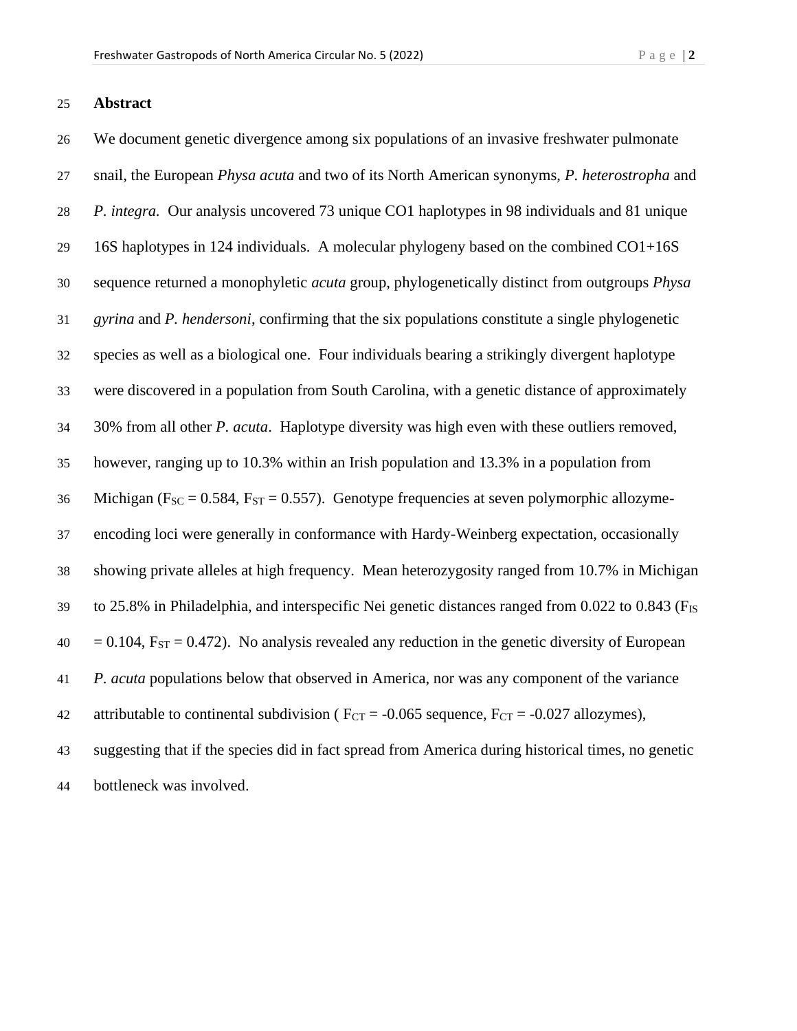## **Abstract**

 We document genetic divergence among six populations of an invasive freshwater pulmonate snail, the European *Physa acuta* and two of its North American synonyms, *P. heterostropha* and *P. integra.* Our analysis uncovered 73 unique CO1 haplotypes in 98 individuals and 81 unique 16S haplotypes in 124 individuals. A molecular phylogeny based on the combined CO1+16S sequence returned a monophyletic *acuta* group, phylogenetically distinct from outgroups *Physa gyrina* and *P. hendersoni*, confirming that the six populations constitute a single phylogenetic species as well as a biological one. Four individuals bearing a strikingly divergent haplotype were discovered in a population from South Carolina, with a genetic distance of approximately 30% from all other *P. acuta*. Haplotype diversity was high even with these outliers removed, however, ranging up to 10.3% within an Irish population and 13.3% in a population from 36 Michigan ( $F_{SC} = 0.584$ ,  $F_{ST} = 0.557$ ). Genotype frequencies at seven polymorphic allozyme- encoding loci were generally in conformance with Hardy-Weinberg expectation, occasionally showing private alleles at high frequency. Mean heterozygosity ranged from 10.7% in Michigan to 25.8% in Philadelphia, and interspecific Nei genetic distances ranged from 0.022 to 0.843 (FIS  $40 = 0.104$ ,  $F_{ST} = 0.472$ ). No analysis revealed any reduction in the genetic diversity of European *P. acuta* populations below that observed in America, nor was any component of the variance 42 attributable to continental subdivision ( $F_{CT} = -0.065$  sequence,  $F_{CT} = -0.027$  allozymes), suggesting that if the species did in fact spread from America during historical times, no genetic bottleneck was involved.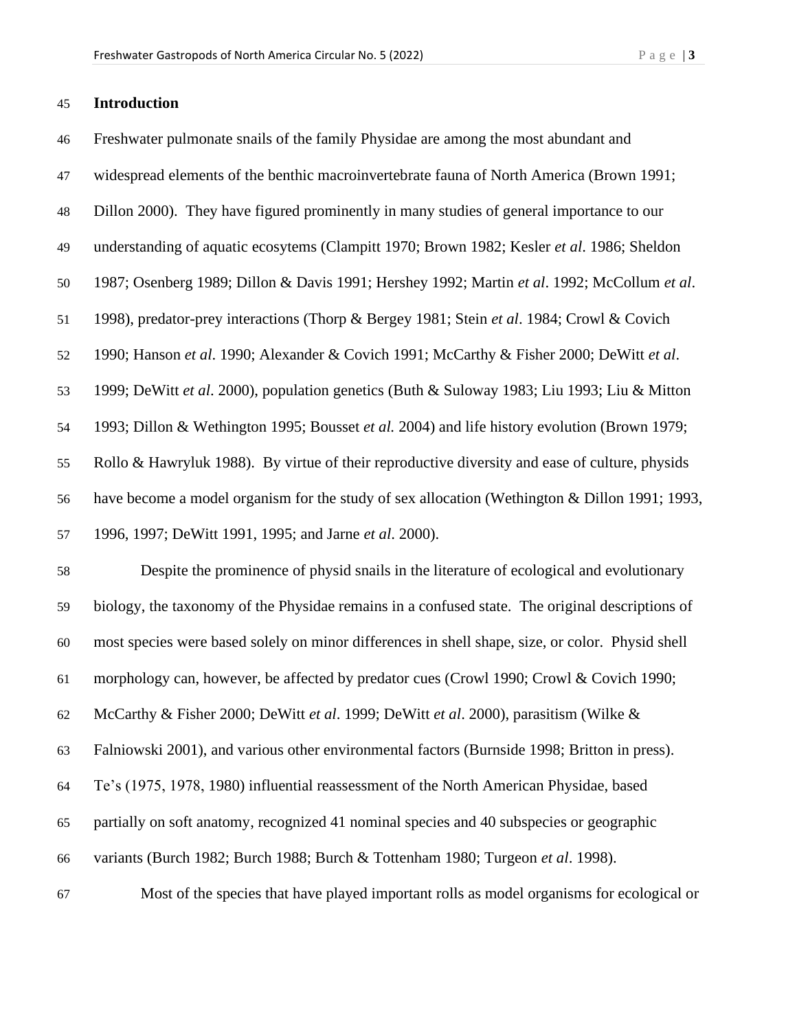# **Introduction**

| 46 | Freshwater pulmonate snails of the family Physidae are among the most abundant and               |
|----|--------------------------------------------------------------------------------------------------|
| 47 | widespread elements of the benthic macroinvertebrate fauna of North America (Brown 1991;         |
| 48 | Dillon 2000). They have figured prominently in many studies of general importance to our         |
| 49 | understanding of aquatic ecosytems (Clampitt 1970; Brown 1982; Kesler et al. 1986; Sheldon       |
| 50 | 1987; Osenberg 1989; Dillon & Davis 1991; Hershey 1992; Martin et al. 1992; McCollum et al.      |
| 51 | 1998), predator-prey interactions (Thorp & Bergey 1981; Stein et al. 1984; Crowl & Covich        |
| 52 | 1990; Hanson et al. 1990; Alexander & Covich 1991; McCarthy & Fisher 2000; DeWitt et al.         |
| 53 | 1999; DeWitt et al. 2000), population genetics (Buth & Suloway 1983; Liu 1993; Liu & Mitton      |
| 54 | 1993; Dillon & Wethington 1995; Bousset et al. 2004) and life history evolution (Brown 1979;     |
| 55 | Rollo & Hawryluk 1988). By virtue of their reproductive diversity and ease of culture, physids   |
| 56 | have become a model organism for the study of sex allocation (Wethington & Dillon 1991; 1993,    |
| 57 | 1996, 1997; DeWitt 1991, 1995; and Jarne et al. 2000).                                           |
| 58 | Despite the prominence of physid snails in the literature of ecological and evolutionary         |
| 59 | biology, the taxonomy of the Physidae remains in a confused state. The original descriptions of  |
| 60 | most species were based solely on minor differences in shell shape, size, or color. Physid shell |
| 61 | morphology can, however, be affected by predator cues (Crowl 1990; Crowl & Covich 1990;          |
| 62 | McCarthy & Fisher 2000; DeWitt et al. 1999; DeWitt et al. 2000), parasitism (Wilke &             |
| 63 | Falniowski 2001), and various other environmental factors (Burnside 1998; Britton in press).     |
| 64 | Te's (1975, 1978, 1980) influential reassessment of the North American Physidae, based           |
| 65 | partially on soft anatomy, recognized 41 nominal species and 40 subspecies or geographic         |
| 66 | variants (Burch 1982; Burch 1988; Burch & Tottenham 1980; Turgeon et al. 1998).                  |

Most of the species that have played important rolls as model organisms for ecological or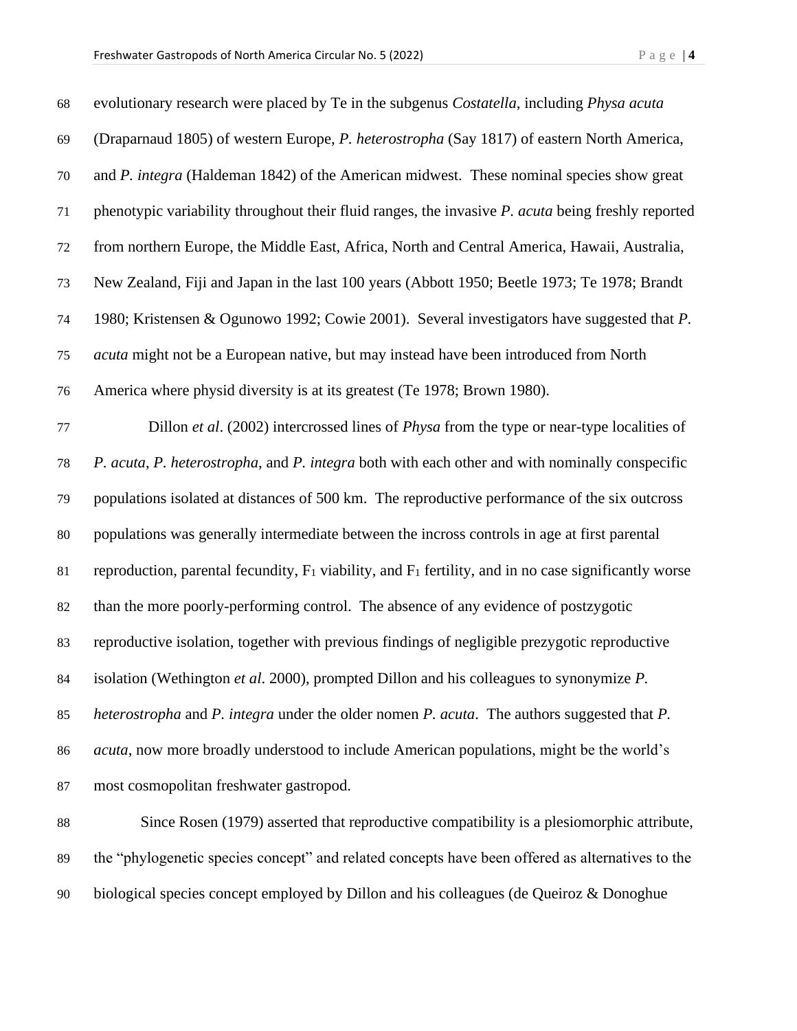| 68     | evolutionary research were placed by Te in the subgenus Costatella, including Physa acuta                  |
|--------|------------------------------------------------------------------------------------------------------------|
| 69     | (Draparnaud 1805) of western Europe, P. heterostropha (Say 1817) of eastern North America,                 |
| $70\,$ | and P. integra (Haldeman 1842) of the American midwest. These nominal species show great                   |
| 71     | phenotypic variability throughout their fluid ranges, the invasive <i>P. acuta</i> being freshly reported  |
| $72\,$ | from northern Europe, the Middle East, Africa, North and Central America, Hawaii, Australia,               |
| 73     | New Zealand, Fiji and Japan in the last 100 years (Abbott 1950; Beetle 1973; Te 1978; Brandt               |
| 74     | 1980; Kristensen & Ogunowo 1992; Cowie 2001). Several investigators have suggested that P.                 |
| 75     | acuta might not be a European native, but may instead have been introduced from North                      |
| 76     | America where physid diversity is at its greatest (Te 1978; Brown 1980).                                   |
| 77     | Dillon et al. (2002) intercrossed lines of <i>Physa</i> from the type or near-type localities of           |
| 78     | P. acuta, P. heterostropha, and P. integra both with each other and with nominally conspecific             |
| 79     | populations isolated at distances of 500 km. The reproductive performance of the six outcross              |
| $80\,$ | populations was generally intermediate between the incross controls in age at first parental               |
| 81     | reproduction, parental fecundity, $F_1$ viability, and $F_1$ fertility, and in no case significantly worse |
| $82\,$ | than the more poorly-performing control. The absence of any evidence of postzygotic                        |
| 83     | reproductive isolation, together with previous findings of negligible prezygotic reproductive              |
| 84     | isolation (Wethington et al. 2000), prompted Dillon and his colleagues to synonymize P.                    |
| 85     | heterostropha and P. integra under the older nomen P. acuta. The authors suggested that P.                 |
| 86     | <i>acuta</i> , now more broadly understood to include American populations, might be the world's           |
| 87     | most cosmopolitan freshwater gastropod.                                                                    |
| 88     | Since Rosen (1979) asserted that reproductive compatibility is a plesiomorphic attribute,                  |
| 89     | the "phylogenetic species concept" and related concepts have been offered as alternatives to the           |

biological species concept employed by Dillon and his colleagues (de Queiroz & Donoghue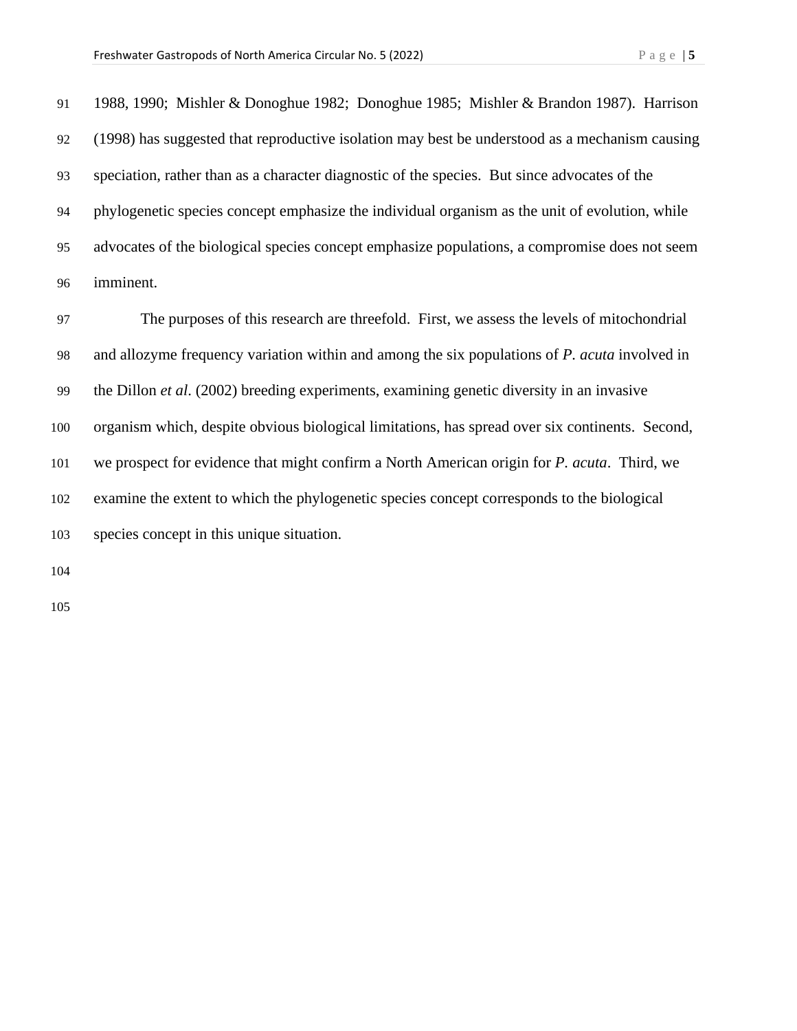1988, 1990; Mishler & Donoghue 1982; Donoghue 1985; Mishler & Brandon 1987). Harrison (1998) has suggested that reproductive isolation may best be understood as a mechanism causing speciation, rather than as a character diagnostic of the species. But since advocates of the phylogenetic species concept emphasize the individual organism as the unit of evolution, while advocates of the biological species concept emphasize populations, a compromise does not seem imminent.

 The purposes of this research are threefold. First, we assess the levels of mitochondrial and allozyme frequency variation within and among the six populations of *P. acuta* involved in the Dillon *et al*. (2002) breeding experiments, examining genetic diversity in an invasive organism which, despite obvious biological limitations, has spread over six continents. Second, we prospect for evidence that might confirm a North American origin for *P. acuta*. Third, we examine the extent to which the phylogenetic species concept corresponds to the biological species concept in this unique situation.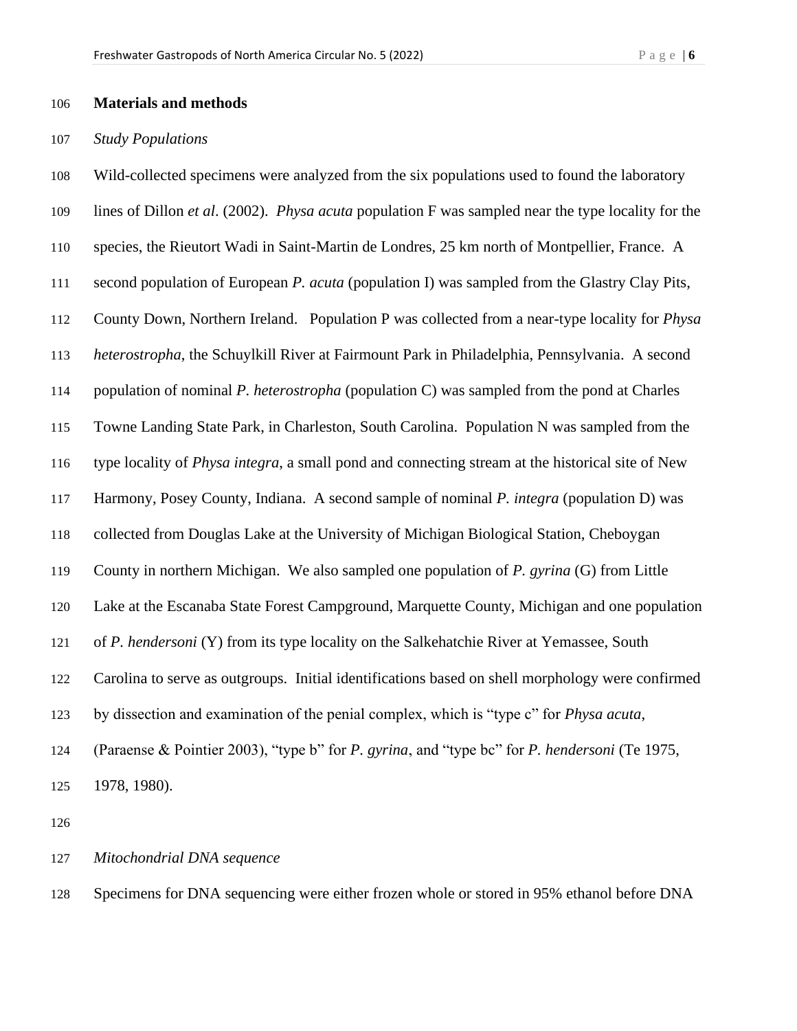#### **Materials and methods**

## *Study Populations*

 Wild-collected specimens were analyzed from the six populations used to found the laboratory lines of Dillon *et al*. (2002). *Physa acuta* population F was sampled near the type locality for the species, the Rieutort Wadi in Saint-Martin de Londres, 25 km north of Montpellier, France. A second population of European *P. acuta* (population I) was sampled from the Glastry Clay Pits, County Down, Northern Ireland. Population P was collected from a near-type locality for *Physa heterostropha*, the Schuylkill River at Fairmount Park in Philadelphia, Pennsylvania. A second population of nominal *P. heterostropha* (population C) was sampled from the pond at Charles Towne Landing State Park, in Charleston, South Carolina. Population N was sampled from the type locality of *Physa integra*, a small pond and connecting stream at the historical site of New Harmony, Posey County, Indiana. A second sample of nominal *P. integra* (population D) was collected from Douglas Lake at the University of Michigan Biological Station, Cheboygan County in northern Michigan. We also sampled one population of *P. gyrina* (G) from Little Lake at the Escanaba State Forest Campground, Marquette County, Michigan and one population of *P. hendersoni* (Y) from its type locality on the Salkehatchie River at Yemassee, South Carolina to serve as outgroups. Initial identifications based on shell morphology were confirmed by dissection and examination of the penial complex, which is "type c" for *Physa acuta*, (Paraense & Pointier 2003), "type b" for *P. gyrina*, and "type bc" for *P. hendersoni* (Te 1975, 1978, 1980).

*Mitochondrial DNA sequence*

Specimens for DNA sequencing were either frozen whole or stored in 95% ethanol before DNA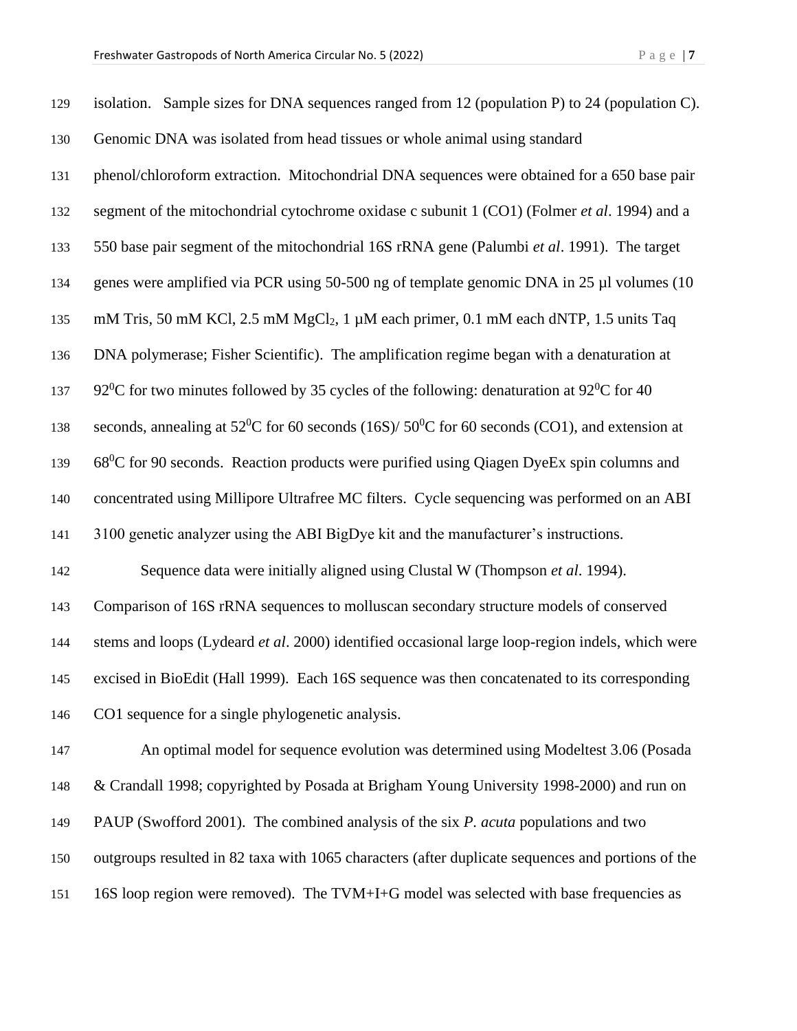| 129 | isolation. Sample sizes for DNA sequences ranged from 12 (population P) to 24 (population C).                      |
|-----|--------------------------------------------------------------------------------------------------------------------|
| 130 | Genomic DNA was isolated from head tissues or whole animal using standard                                          |
| 131 | phenol/chloroform extraction. Mitochondrial DNA sequences were obtained for a 650 base pair                        |
| 132 | segment of the mitochondrial cytochrome oxidase c subunit 1 (CO1) (Folmer et al. 1994) and a                       |
| 133 | 550 base pair segment of the mitochondrial 16S rRNA gene (Palumbi et al. 1991). The target                         |
| 134 | genes were amplified via PCR using 50-500 ng of template genomic DNA in 25 µl volumes (10                          |
| 135 | mM Tris, 50 mM KCl, 2.5 mM MgCl <sub>2</sub> , 1 µM each primer, 0.1 mM each dNTP, 1.5 units Taq                   |
| 136 | DNA polymerase; Fisher Scientific). The amplification regime began with a denaturation at                          |
| 137 | 92 <sup>0</sup> C for two minutes followed by 35 cycles of the following: denaturation at 92 <sup>0</sup> C for 40 |
| 138 | seconds, annealing at $52^{\circ}$ C for 60 seconds (16S)/ $50^{\circ}$ C for 60 seconds (CO1), and extension at   |
| 139 | $68^{\circ}$ C for 90 seconds. Reaction products were purified using Qiagen DyeEx spin columns and                 |
| 140 | concentrated using Millipore Ultrafree MC filters. Cycle sequencing was performed on an ABI                        |
| 141 | 3100 genetic analyzer using the ABI BigDye kit and the manufacturer's instructions.                                |
| 142 | Sequence data were initially aligned using Clustal W (Thompson et al. 1994).                                       |
| 143 | Comparison of 16S rRNA sequences to molluscan secondary structure models of conserved                              |
| 144 | stems and loops (Lydeard et al. 2000) identified occasional large loop-region indels, which were                   |
| 145 | excised in BioEdit (Hall 1999). Each 16S sequence was then concatenated to its corresponding                       |
| 146 | CO1 sequence for a single phylogenetic analysis.                                                                   |
| 147 | An optimal model for sequence evolution was determined using Modeltest 3.06 (Posada                                |
| 148 | & Crandall 1998; copyrighted by Posada at Brigham Young University 1998-2000) and run on                           |
| 149 | PAUP (Swofford 2001). The combined analysis of the six P. acuta populations and two                                |
| 150 | outgroups resulted in 82 taxa with 1065 characters (after duplicate sequences and portions of the                  |
| 151 | 16S loop region were removed). The TVM+I+G model was selected with base frequencies as                             |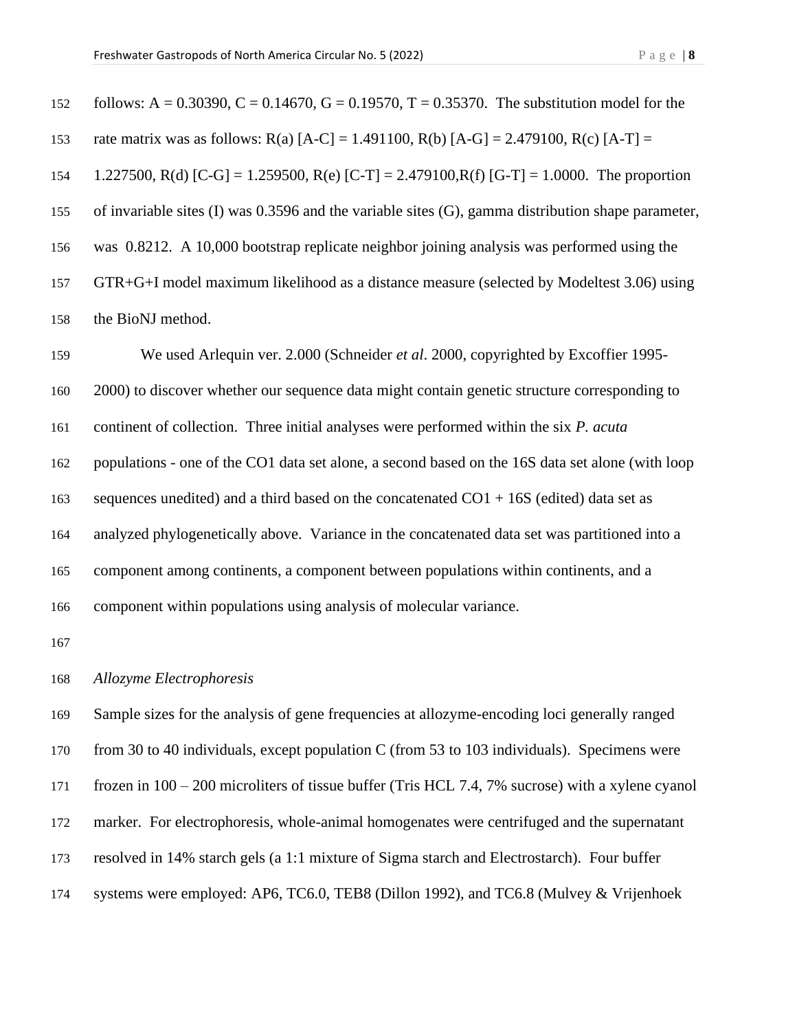| 152 | TOHOWS: A = 0.30390, C = 0.14670, G = 0.19570, T = 0.35370. The substitution model for the         |
|-----|----------------------------------------------------------------------------------------------------|
| 153 | rate matrix was as follows: $R(a)$ [A-C] = 1.491100, $R(b)$ [A-G] = 2.479100, $R(c)$ [A-T] =       |
| 154 | 1.227500, R(d) [C-G] = 1.259500, R(e) [C-T] = 2.479100, R(f) [G-T] = 1.0000. The proportion        |
| 155 | of invariable sites (I) was 0.3596 and the variable sites (G), gamma distribution shape parameter, |
| 156 | was 0.8212. A 10,000 bootstrap replicate neighbor joining analysis was performed using the         |
| 157 | GTR+G+I model maximum likelihood as a distance measure (selected by Modeltest 3.06) using          |
| 158 | the BioNJ method.                                                                                  |
|     |                                                                                                    |

 $152 \text{ F}$  follows: A = 0.30390, C = 0.14670, G = 0.19570, The substitution model for the substitution model for the substitution model for the substitution model for the substitution model for the substitution model for

 We used Arlequin ver. 2.000 (Schneider *et al*. 2000, copyrighted by Excoffier 1995- 2000) to discover whether our sequence data might contain genetic structure corresponding to continent of collection. Three initial analyses were performed within the six *P. acuta* populations - one of the CO1 data set alone, a second based on the 16S data set alone (with loop 163 sequences unedited) and a third based on the concatenated  $CO1 + 16S$  (edited) data set as analyzed phylogenetically above. Variance in the concatenated data set was partitioned into a component among continents, a component between populations within continents, and a component within populations using analysis of molecular variance.

#### *Allozyme Electrophoresis*

 Sample sizes for the analysis of gene frequencies at allozyme-encoding loci generally ranged from 30 to 40 individuals, except population C (from 53 to 103 individuals). Specimens were frozen in 100 – 200 microliters of tissue buffer (Tris HCL 7.4, 7% sucrose) with a xylene cyanol marker. For electrophoresis, whole-animal homogenates were centrifuged and the supernatant resolved in 14% starch gels (a 1:1 mixture of Sigma starch and Electrostarch). Four buffer systems were employed: AP6, TC6.0, TEB8 (Dillon 1992), and TC6.8 (Mulvey & Vrijenhoek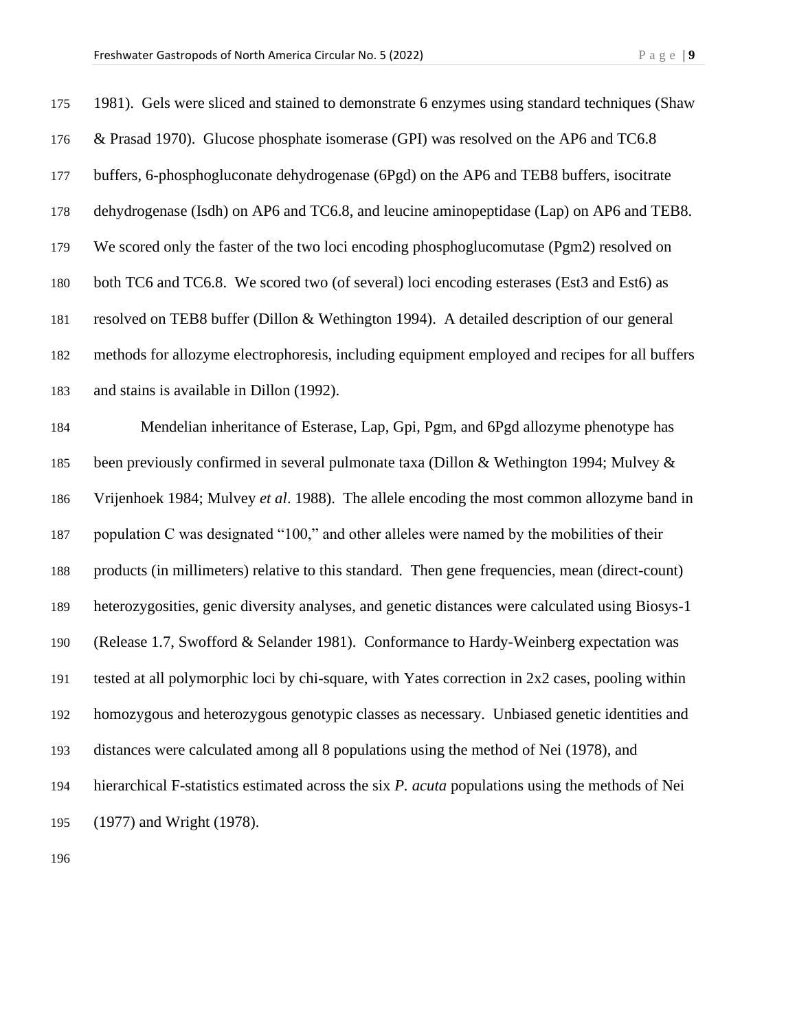| 175 | 1981). Gels were sliced and stained to demonstrate 6 enzymes using standard techniques (Shaw     |
|-----|--------------------------------------------------------------------------------------------------|
| 176 | & Prasad 1970). Glucose phosphate isomerase (GPI) was resolved on the AP6 and TC6.8              |
| 177 | buffers, 6-phosphogluconate dehydrogenase (6Pgd) on the AP6 and TEB8 buffers, isocitrate         |
| 178 | dehydrogenase (Isdh) on AP6 and TC6.8, and leucine aminopeptidase (Lap) on AP6 and TEB8.         |
| 179 | We scored only the faster of the two loci encoding phosphoglucomutase (Pgm2) resolved on         |
| 180 | both TC6 and TC6.8. We scored two (of several) loci encoding esterases (Est3 and Est6) as        |
| 181 | resolved on TEB8 buffer (Dillon & Wethington 1994). A detailed description of our general        |
| 182 | methods for allozyme electrophoresis, including equipment employed and recipes for all buffers   |
| 183 | and stains is available in Dillon (1992).                                                        |
| 184 | Mendelian inheritance of Esterase, Lap, Gpi, Pgm, and 6Pgd allozyme phenotype has                |
| 185 | been previously confirmed in several pulmonate taxa (Dillon & Wethington 1994; Mulvey &          |
| 186 | Vrijenhoek 1984; Mulvey et al. 1988). The allele encoding the most common allozyme band in       |
| 187 | population C was designated "100," and other alleles were named by the mobilities of their       |
| 188 | products (in millimeters) relative to this standard. Then gene frequencies, mean (direct-count)  |
| 189 | heterozygosities, genic diversity analyses, and genetic distances were calculated using Biosys-1 |
| 190 | (Release 1.7, Swofford & Selander 1981). Conformance to Hardy-Weinberg expectation was           |
| 191 | tested at all polymorphic loci by chi-square, with Yates correction in 2x2 cases, pooling within |
| 192 | homozygous and heterozygous genotypic classes as necessary. Unbiased genetic identities and      |
| 193 | distances were calculated among all 8 populations using the method of Nei (1978), and            |
| 194 | hierarchical F-statistics estimated across the six P. acuta populations using the methods of Nei |
| 195 | (1977) and Wright (1978).                                                                        |
| 196 |                                                                                                  |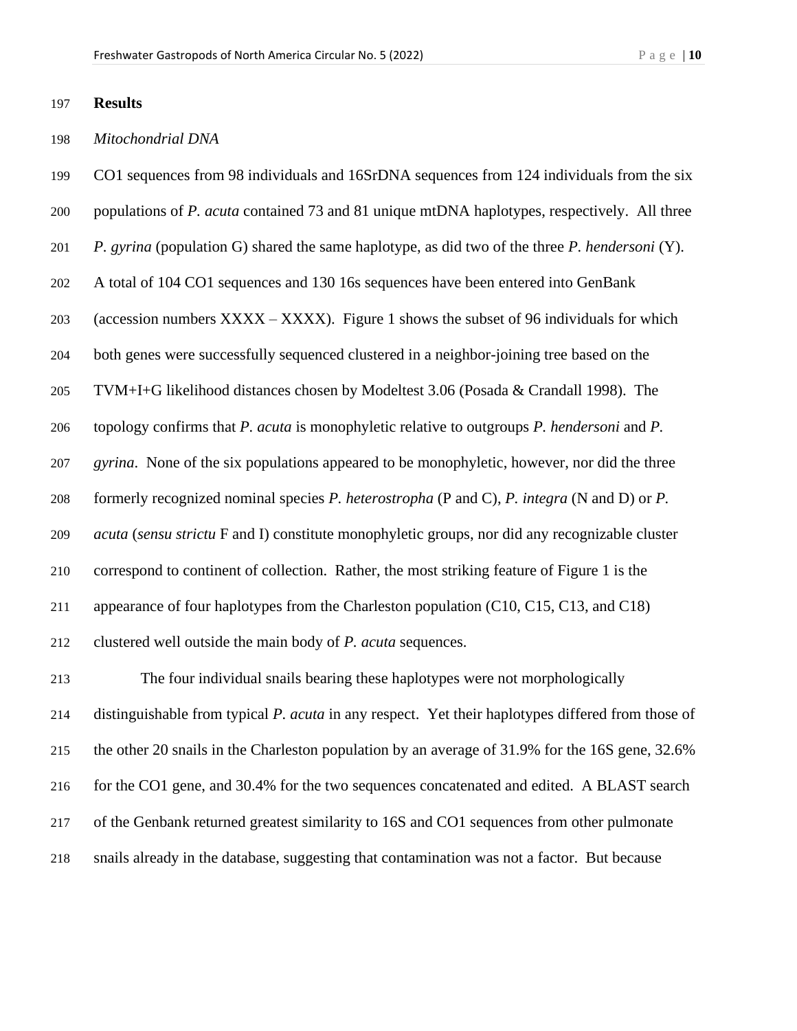#### **Results**

#### *Mitochondrial DNA*

CO1 sequences from 98 individuals and 16SrDNA sequences from 124 individuals from the six

- populations of *P. acuta* contained 73 and 81 unique mtDNA haplotypes, respectively. All three
- *P. gyrina* (population G) shared the same haplotype, as did two of the three *P. hendersoni* (Y).

A total of 104 CO1 sequences and 130 16s sequences have been entered into GenBank

(accession numbers XXXX – XXXX). Figure 1 shows the subset of 96 individuals for which

both genes were successfully sequenced clustered in a neighbor-joining tree based on the

TVM+I+G likelihood distances chosen by Modeltest 3.06 (Posada & Crandall 1998). The

topology confirms that *P. acuta* is monophyletic relative to outgroups *P. hendersoni* and *P.* 

*gyrina*. None of the six populations appeared to be monophyletic, however, nor did the three

formerly recognized nominal species *P. heterostropha* (P and C), *P. integra* (N and D) or *P.* 

*acuta* (*sensu strictu* F and I) constitute monophyletic groups, nor did any recognizable cluster

correspond to continent of collection. Rather, the most striking feature of Figure 1 is the

appearance of four haplotypes from the Charleston population (C10, C15, C13, and C18)

clustered well outside the main body of *P. acuta* sequences.

 The four individual snails bearing these haplotypes were not morphologically distinguishable from typical *P. acuta* in any respect. Yet their haplotypes differed from those of the other 20 snails in the Charleston population by an average of 31.9% for the 16S gene, 32.6% for the CO1 gene, and 30.4% for the two sequences concatenated and edited. A BLAST search of the Genbank returned greatest similarity to 16S and CO1 sequences from other pulmonate snails already in the database, suggesting that contamination was not a factor. But because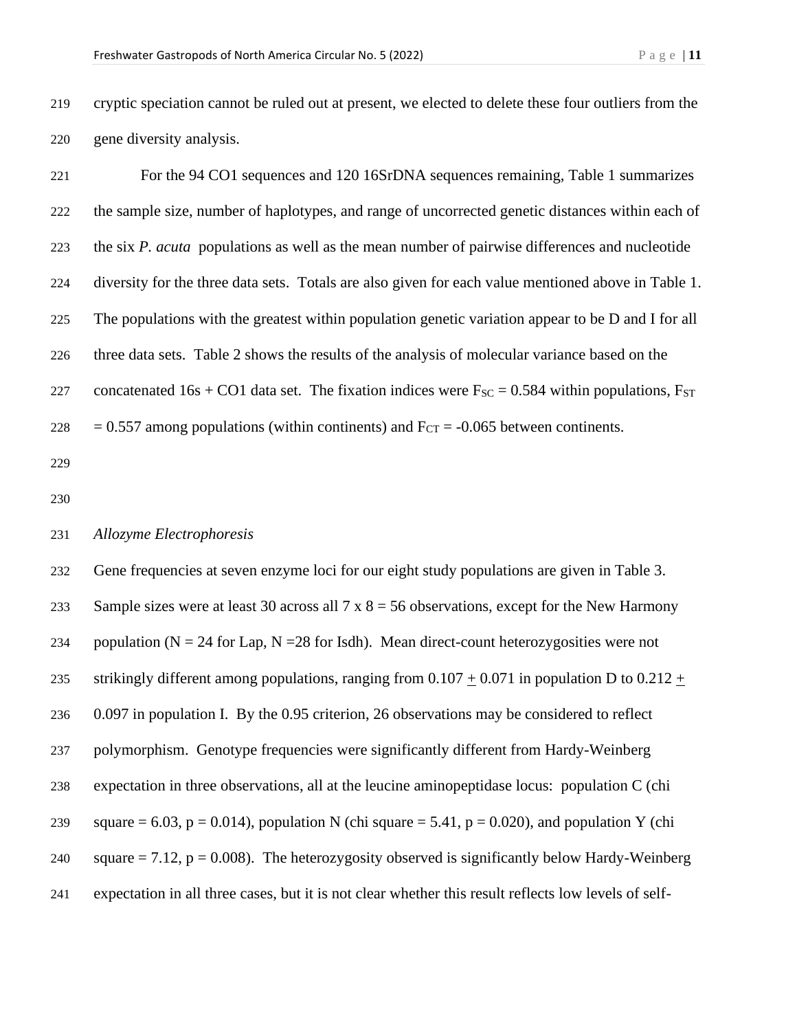cryptic speciation cannot be ruled out at present, we elected to delete these four outliers from the gene diversity analysis.

 For the 94 CO1 sequences and 120 16SrDNA sequences remaining, Table 1 summarizes the sample size, number of haplotypes, and range of uncorrected genetic distances within each of the six *P. acuta* populations as well as the mean number of pairwise differences and nucleotide diversity for the three data sets. Totals are also given for each value mentioned above in Table 1. The populations with the greatest within population genetic variation appear to be D and I for all three data sets. Table 2 shows the results of the analysis of molecular variance based on the 227 concatenated 16s + CO1 data set. The fixation indices were  $F_{SC} = 0.584$  within populations,  $F_{ST}$  $228 = 0.557$  among populations (within continents) and  $F_{CT} = -0.065$  between continents.

#### *Allozyme Electrophoresis*

 Gene frequencies at seven enzyme loci for our eight study populations are given in Table 3. 233 Sample sizes were at least 30 across all  $7 \times 8 = 56$  observations, except for the New Harmony 234 population ( $N = 24$  for Lap,  $N = 28$  for Isdh). Mean direct-count heterozygosities were not 235 strikingly different among populations, ranging from  $0.107 + 0.071$  in population D to  $0.212 +$  0.097 in population I. By the 0.95 criterion, 26 observations may be considered to reflect polymorphism. Genotype frequencies were significantly different from Hardy-Weinberg expectation in three observations, all at the leucine aminopeptidase locus: population C (chi 239 square = 6.03, p = 0.014), population N (chi square = 5.41, p = 0.020), and population Y (chi 240 square  $= 7.12$ ,  $p = 0.008$ . The heterozygosity observed is significantly below Hardy-Weinberg expectation in all three cases, but it is not clear whether this result reflects low levels of self-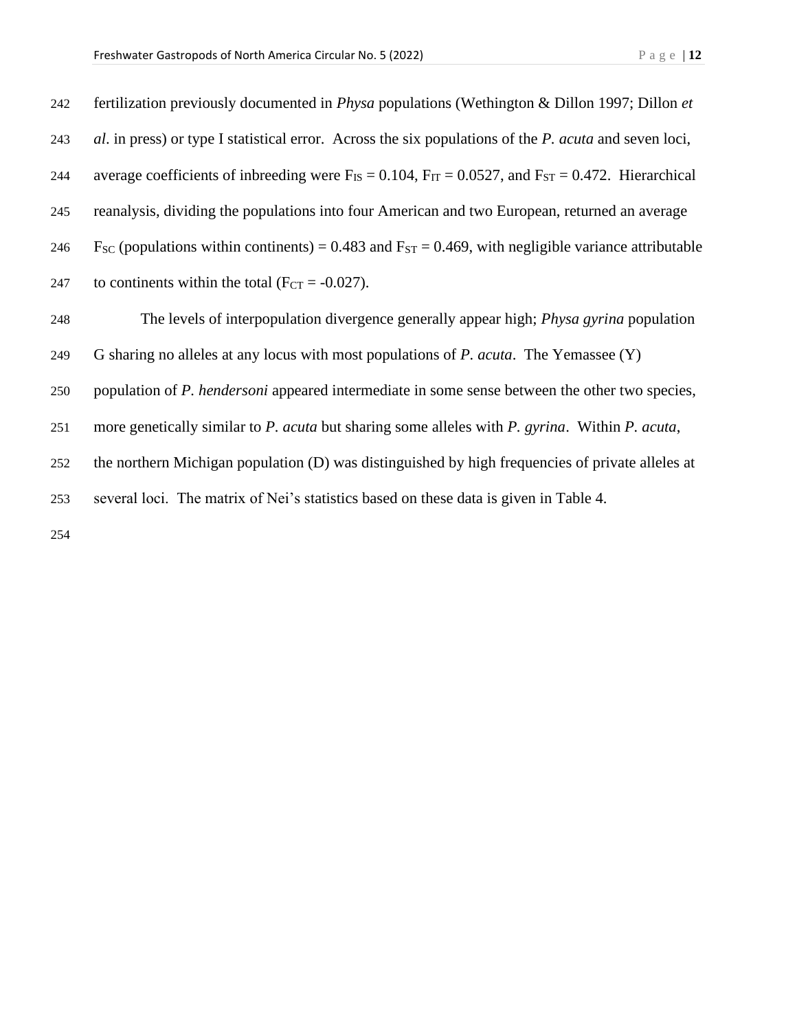| 242 | fertilization previously documented in <i>Physa</i> populations (Wethington & Dillon 1997; Dillon et               |
|-----|--------------------------------------------------------------------------------------------------------------------|
| 243 | al. in press) or type I statistical error. Across the six populations of the <i>P. acuta</i> and seven loci,       |
| 244 | average coefficients of inbreeding were $F_{IS} = 0.104$ , $F_{IT} = 0.0527$ , and $F_{ST} = 0.472$ . Hierarchical |
| 245 | reanalysis, dividing the populations into four American and two European, returned an average                      |
| 246 | $F_{SC}$ (populations within continents) = 0.483 and $F_{ST}$ = 0.469, with negligible variance attributable       |
| 247 | to continents within the total ( $F_{CT} = -0.027$ ).                                                              |
| 248 | The levels of interpopulation divergence generally appear high; <i>Physa gyrina</i> population                     |
| 249 | G sharing no alleles at any locus with most populations of P. acuta. The Yemassee (Y)                              |
| 250 | population of <i>P. hendersoni</i> appeared intermediate in some sense between the other two species,              |
| 251 | more genetically similar to P. acuta but sharing some alleles with P. gyrina. Within P. acuta,                     |
| 252 | the northern Michigan population (D) was distinguished by high frequencies of private alleles at                   |
| 253 | several loci. The matrix of Nei's statistics based on these data is given in Table 4.                              |
|     |                                                                                                                    |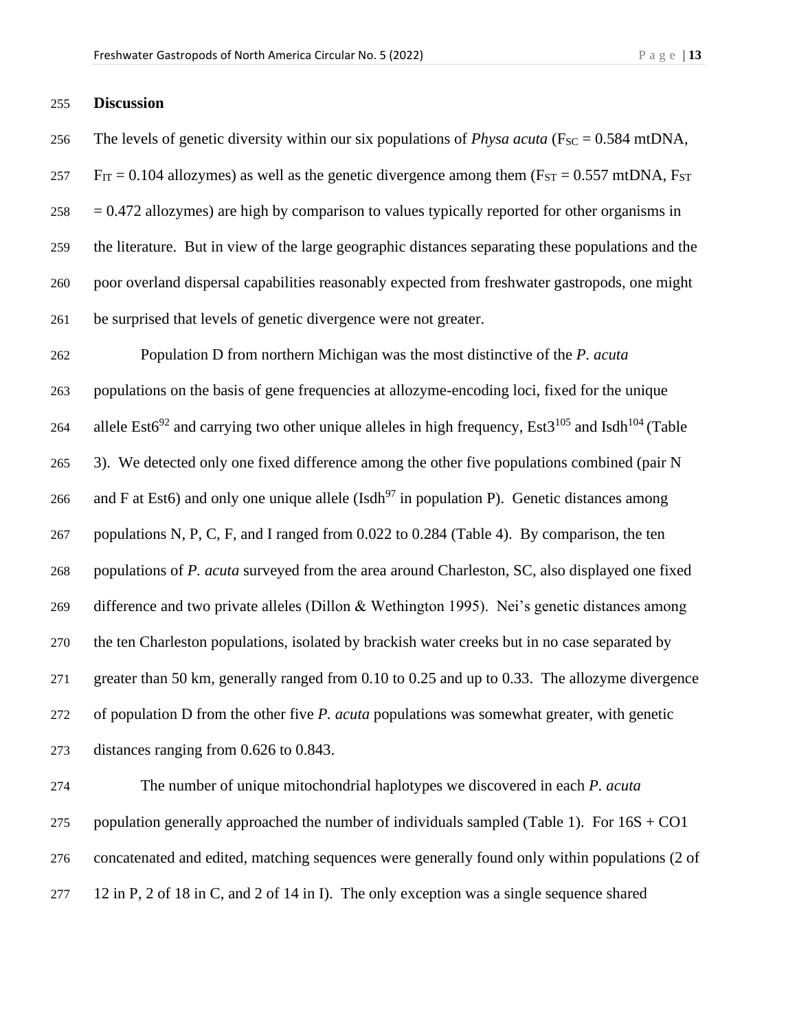## **Discussion**

256 The levels of genetic diversity within our six populations of *Physa acuta* ( $F_{SC} = 0.584$  mtDNA, F<sub>IT</sub> = 0.104 allozymes) as well as the genetic divergence among them (F<sub>ST</sub> = 0.557 mtDNA, F<sub>ST</sub>  $258 = 0.472$  allozymes) are high by comparison to values typically reported for other organisms in the literature. But in view of the large geographic distances separating these populations and the poor overland dispersal capabilities reasonably expected from freshwater gastropods, one might be surprised that levels of genetic divergence were not greater.

 Population D from northern Michigan was the most distinctive of the *P. acuta* populations on the basis of gene frequencies at allozyme-encoding loci, fixed for the unique 264 allele Est6<sup>92</sup> and carrying two other unique alleles in high frequency, Est3<sup>105</sup> and Isdh<sup>104</sup> (Table 3). We detected only one fixed difference among the other five populations combined (pair N 266 and F at Est6) and only one unique allele (Isdh<sup>97</sup> in population P). Genetic distances among populations N, P, C, F, and I ranged from 0.022 to 0.284 (Table 4). By comparison, the ten populations of *P. acuta* surveyed from the area around Charleston, SC, also displayed one fixed difference and two private alleles (Dillon & Wethington 1995). Nei's genetic distances among the ten Charleston populations, isolated by brackish water creeks but in no case separated by greater than 50 km, generally ranged from 0.10 to 0.25 and up to 0.33. The allozyme divergence of population D from the other five *P. acuta* populations was somewhat greater, with genetic distances ranging from 0.626 to 0.843.

 The number of unique mitochondrial haplotypes we discovered in each *P. acuta* 275 population generally approached the number of individuals sampled (Table 1). For  $16S + CO1$  concatenated and edited, matching sequences were generally found only within populations (2 of 12 in P, 2 of 18 in C, and 2 of 14 in I). The only exception was a single sequence shared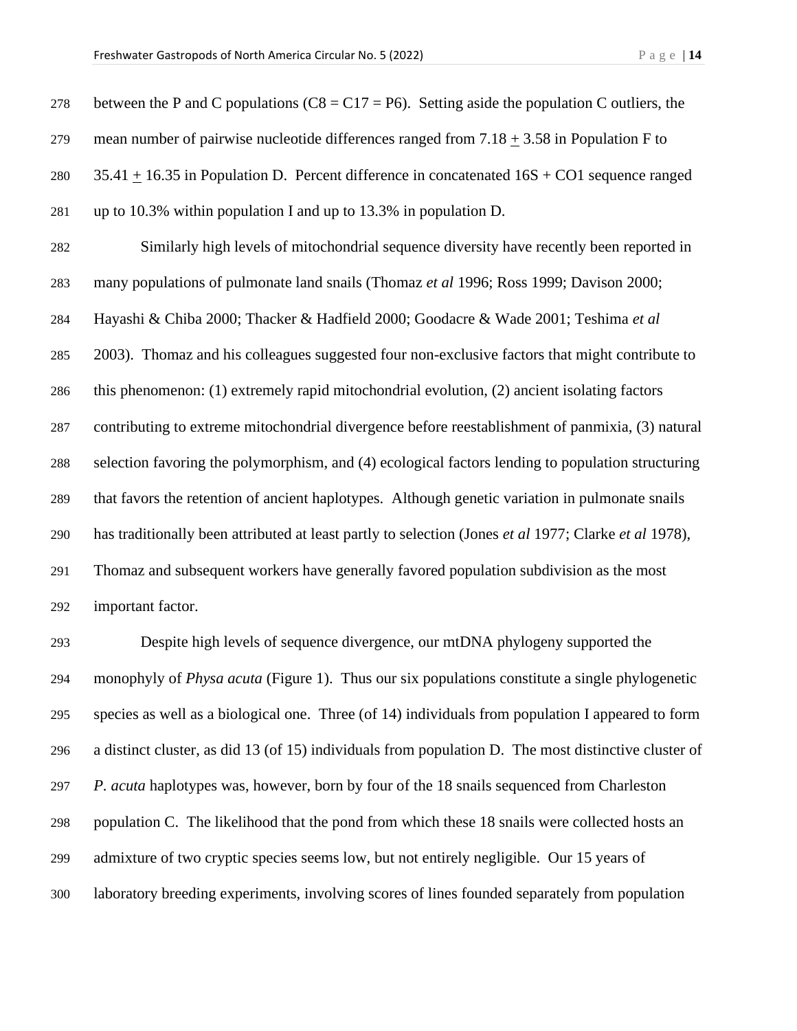| 278 | between the P and C populations ( $C8 = C17 = P6$ ). Setting aside the population C outliers, the     |
|-----|-------------------------------------------------------------------------------------------------------|
| 279 | mean number of pairwise nucleotide differences ranged from $7.18 \pm 3.58$ in Population F to         |
| 280 | 35.41 $\pm$ 16.35 in Population D. Percent difference in concatenated 16S + CO1 sequence ranged       |
| 281 | up to 10.3% within population I and up to 13.3% in population D.                                      |
| 282 | Similarly high levels of mitochondrial sequence diversity have recently been reported in              |
| 283 | many populations of pulmonate land snails (Thomaz et al 1996; Ross 1999; Davison 2000;                |
| 284 | Hayashi & Chiba 2000; Thacker & Hadfield 2000; Goodacre & Wade 2001; Teshima et al                    |
| 285 | 2003). Thomaz and his colleagues suggested four non-exclusive factors that might contribute to        |
| 286 | this phenomenon: (1) extremely rapid mitochondrial evolution, (2) ancient isolating factors           |
| 287 | contributing to extreme mitochondrial divergence before reestablishment of panmixia, (3) natural      |
| 288 | selection favoring the polymorphism, and (4) ecological factors lending to population structuring     |
| 289 | that favors the retention of ancient haplotypes. Although genetic variation in pulmonate snails       |
| 290 | has traditionally been attributed at least partly to selection (Jones et al 1977; Clarke et al 1978), |
| 291 | Thomaz and subsequent workers have generally favored population subdivision as the most               |
| 292 | important factor.                                                                                     |
| 293 | Despite high levels of sequence divergence, our mtDNA phylogeny supported the                         |

 Despite high levels of sequence divergence, our mtDNA phylogeny supported the monophyly of *Physa acuta* (Figure 1). Thus our six populations constitute a single phylogenetic species as well as a biological one. Three (of 14) individuals from population I appeared to form a distinct cluster, as did 13 (of 15) individuals from population D. The most distinctive cluster of *P. acuta* haplotypes was, however, born by four of the 18 snails sequenced from Charleston population C. The likelihood that the pond from which these 18 snails were collected hosts an admixture of two cryptic species seems low, but not entirely negligible. Our 15 years of laboratory breeding experiments, involving scores of lines founded separately from population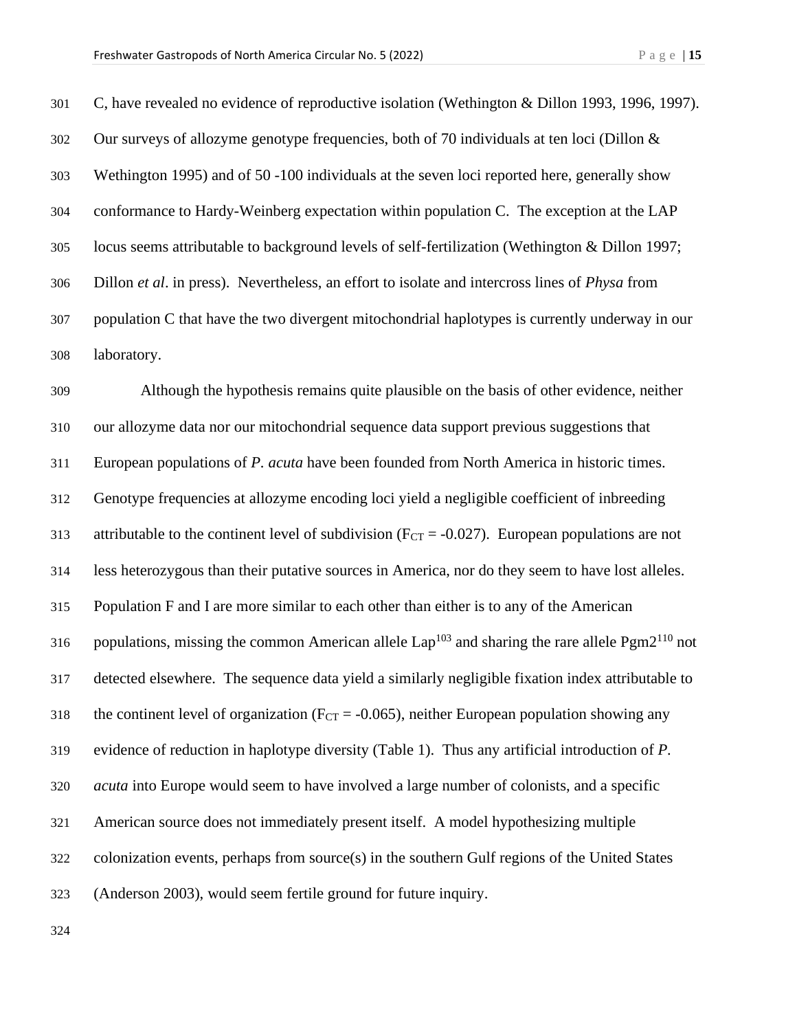C, have revealed no evidence of reproductive isolation (Wethington & Dillon 1993, 1996, 1997). Our surveys of allozyme genotype frequencies, both of 70 individuals at ten loci (Dillon & Wethington 1995) and of 50 -100 individuals at the seven loci reported here, generally show conformance to Hardy-Weinberg expectation within population C. The exception at the LAP locus seems attributable to background levels of self-fertilization (Wethington & Dillon 1997; Dillon *et al*. in press). Nevertheless, an effort to isolate and intercross lines of *Physa* from population C that have the two divergent mitochondrial haplotypes is currently underway in our laboratory.

 Although the hypothesis remains quite plausible on the basis of other evidence, neither our allozyme data nor our mitochondrial sequence data support previous suggestions that European populations of *P. acuta* have been founded from North America in historic times. Genotype frequencies at allozyme encoding loci yield a negligible coefficient of inbreeding 313 attributable to the continent level of subdivision ( $F_{CT} = -0.027$ ). European populations are not less heterozygous than their putative sources in America, nor do they seem to have lost alleles. Population F and I are more similar to each other than either is to any of the American 316 populations, missing the common American allele Lap<sup>103</sup> and sharing the rare allele Pgm2<sup>110</sup> not detected elsewhere. The sequence data yield a similarly negligible fixation index attributable to 318 the continent level of organization ( $F_{CT} = -0.065$ ), neither European population showing any evidence of reduction in haplotype diversity (Table 1). Thus any artificial introduction of *P. acuta* into Europe would seem to have involved a large number of colonists, and a specific American source does not immediately present itself. A model hypothesizing multiple colonization events, perhaps from source(s) in the southern Gulf regions of the United States (Anderson 2003), would seem fertile ground for future inquiry.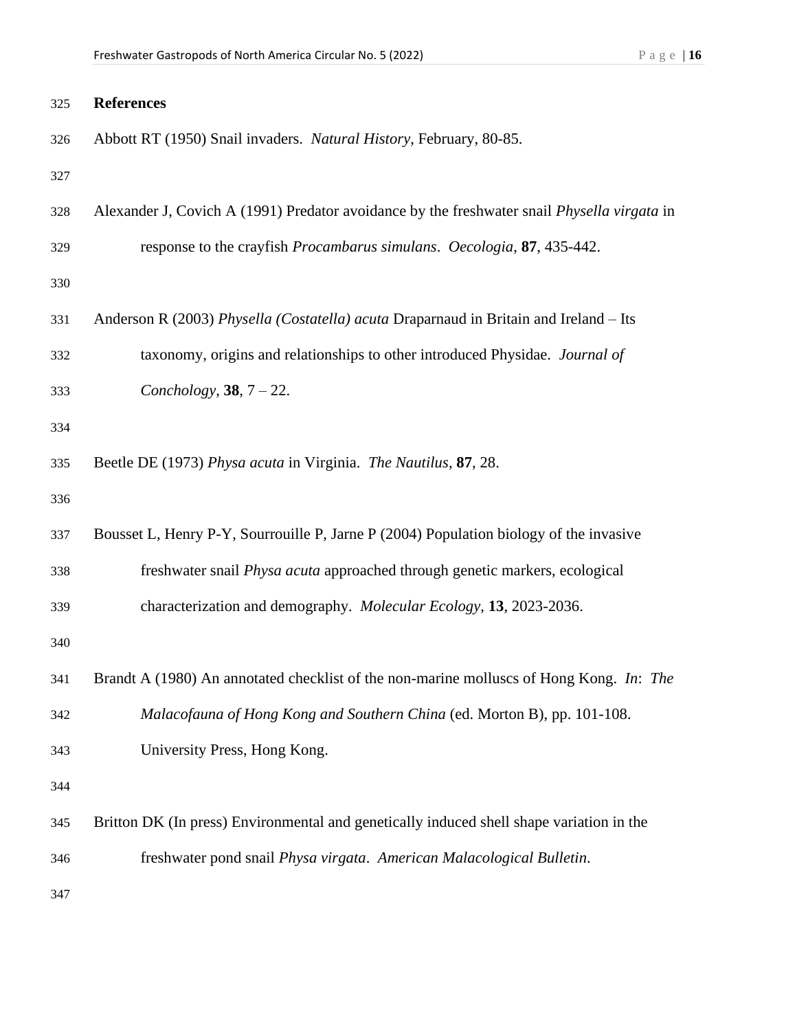| 325 | <b>References</b>                                                                                  |
|-----|----------------------------------------------------------------------------------------------------|
| 326 | Abbott RT (1950) Snail invaders. Natural History, February, 80-85.                                 |
| 327 |                                                                                                    |
| 328 | Alexander J, Covich A (1991) Predator avoidance by the freshwater snail <i>Physella virgata</i> in |
| 329 | response to the crayfish Procambarus simulans. Oecologia, 87, 435-442.                             |
| 330 |                                                                                                    |
| 331 | Anderson R (2003) Physella (Costatella) acuta Draparnaud in Britain and Ireland - Its              |
| 332 | taxonomy, origins and relationships to other introduced Physidae. Journal of                       |
| 333 | Conchology, 38, $7 - 22$ .                                                                         |
| 334 |                                                                                                    |
| 335 | Beetle DE (1973) Physa acuta in Virginia. The Nautilus, 87, 28.                                    |
| 336 |                                                                                                    |
| 337 | Bousset L, Henry P-Y, Sourrouille P, Jarne P (2004) Population biology of the invasive             |
| 338 | freshwater snail Physa acuta approached through genetic markers, ecological                        |
| 339 | characterization and demography. Molecular Ecology, 13, 2023-2036.                                 |
| 340 |                                                                                                    |
| 341 | Brandt A (1980) An annotated checklist of the non-marine molluscs of Hong Kong. In: The            |
| 342 | Malacofauna of Hong Kong and Southern China (ed. Morton B), pp. 101-108.                           |
| 343 | University Press, Hong Kong.                                                                       |
| 344 |                                                                                                    |
| 345 | Britton DK (In press) Environmental and genetically induced shell shape variation in the           |
| 346 | freshwater pond snail Physa virgata. American Malacological Bulletin.                              |
| 347 |                                                                                                    |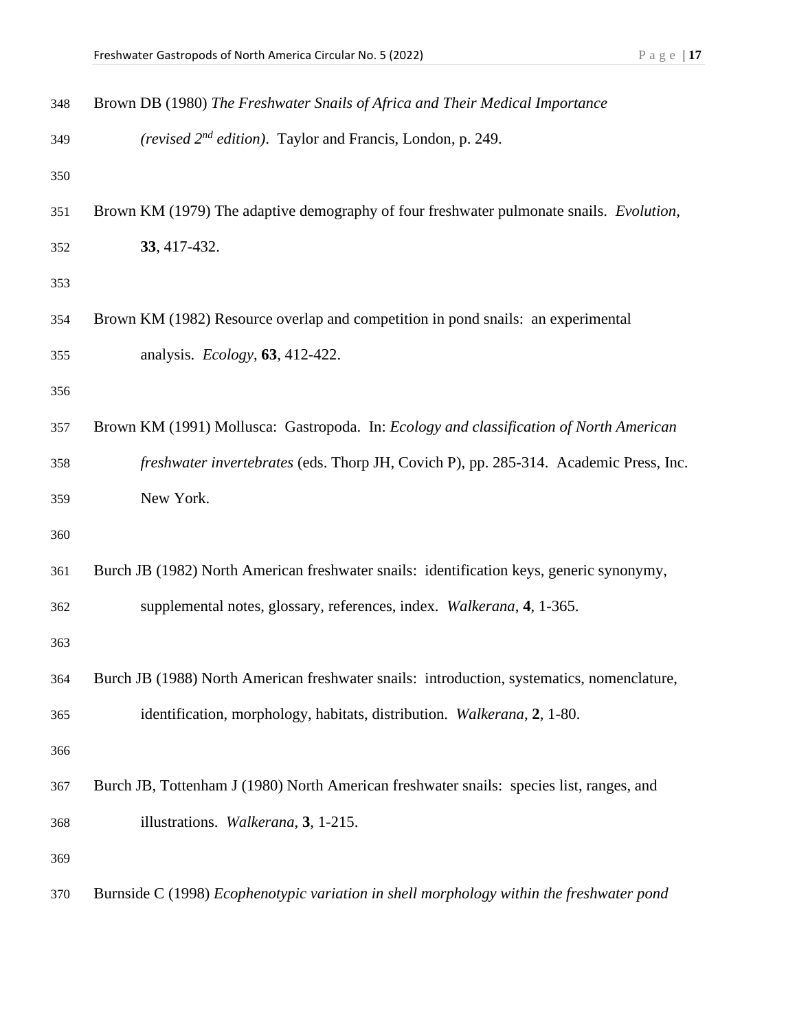|  |  |  |  |  | _<br>ı |
|--|--|--|--|--|--------|
|--|--|--|--|--|--------|

| 348 | Brown DB (1980) The Freshwater Snails of Africa and Their Medical Importance               |
|-----|--------------------------------------------------------------------------------------------|
| 349 | (revised 2 <sup>nd</sup> edition). Taylor and Francis, London, p. 249.                     |
| 350 |                                                                                            |
| 351 | Brown KM (1979) The adaptive demography of four freshwater pulmonate snails. Evolution,    |
| 352 | 33, 417-432.                                                                               |
| 353 |                                                                                            |
| 354 | Brown KM (1982) Resource overlap and competition in pond snails: an experimental           |
| 355 | analysis. <i>Ecology</i> , <b>63</b> , 412-422.                                            |
| 356 |                                                                                            |
| 357 | Brown KM (1991) Mollusca: Gastropoda. In: Ecology and classification of North American     |
| 358 | freshwater invertebrates (eds. Thorp JH, Covich P), pp. 285-314. Academic Press, Inc.      |
| 359 | New York.                                                                                  |
| 360 |                                                                                            |
| 361 | Burch JB (1982) North American freshwater snails: identification keys, generic synonymy,   |
| 362 | supplemental notes, glossary, references, index. Walkerana, 4, 1-365.                      |
| 363 |                                                                                            |
| 364 | Burch JB (1988) North American freshwater snails: introduction, systematics, nomenclature, |
| 365 | identification, morphology, habitats, distribution. Walkerana, 2, 1-80.                    |
| 366 |                                                                                            |
| 367 | Burch JB, Tottenham J (1980) North American freshwater snails: species list, ranges, and   |
| 368 | illustrations. Walkerana, 3, 1-215.                                                        |
| 369 |                                                                                            |
| 370 | Burnside C (1998) Ecophenotypic variation in shell morphology within the freshwater pond   |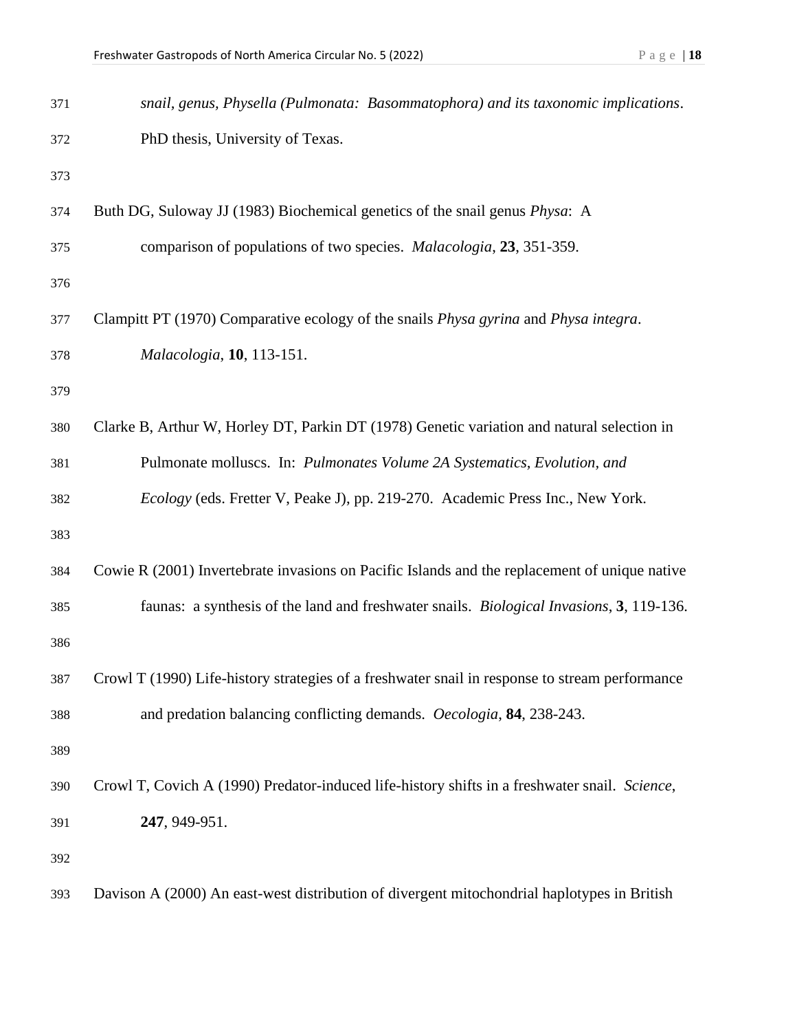| 371 | snail, genus, Physella (Pulmonata: Basommatophora) and its taxonomic implications.                  |
|-----|-----------------------------------------------------------------------------------------------------|
| 372 | PhD thesis, University of Texas.                                                                    |
| 373 |                                                                                                     |
| 374 | Buth DG, Suloway JJ (1983) Biochemical genetics of the snail genus <i>Physa</i> : A                 |
| 375 | comparison of populations of two species. <i>Malacologia</i> , 23, 351-359.                         |
| 376 |                                                                                                     |
| 377 | Clampitt PT (1970) Comparative ecology of the snails <i>Physa gyrina</i> and <i>Physa integra</i> . |
| 378 | Malacologia, 10, 113-151.                                                                           |
| 379 |                                                                                                     |
| 380 | Clarke B, Arthur W, Horley DT, Parkin DT (1978) Genetic variation and natural selection in          |
| 381 | Pulmonate molluscs. In: Pulmonates Volume 2A Systematics, Evolution, and                            |
| 382 | Ecology (eds. Fretter V, Peake J), pp. 219-270. Academic Press Inc., New York.                      |
| 383 |                                                                                                     |
| 384 | Cowie R (2001) Invertebrate invasions on Pacific Islands and the replacement of unique native       |
| 385 | faunas: a synthesis of the land and freshwater snails. <i>Biological Invasions</i> , 3, 119-136.    |
| 386 |                                                                                                     |
| 387 | Crowl T (1990) Life-history strategies of a freshwater snail in response to stream performance      |
| 388 | and predation balancing conflicting demands. Oecologia, 84, 238-243.                                |
| 389 |                                                                                                     |
| 390 | Crowl T, Covich A (1990) Predator-induced life-history shifts in a freshwater snail. Science,       |
| 391 | 247, 949-951.                                                                                       |
| 392 |                                                                                                     |
| 393 | Davison A (2000) An east-west distribution of divergent mitochondrial haplotypes in British         |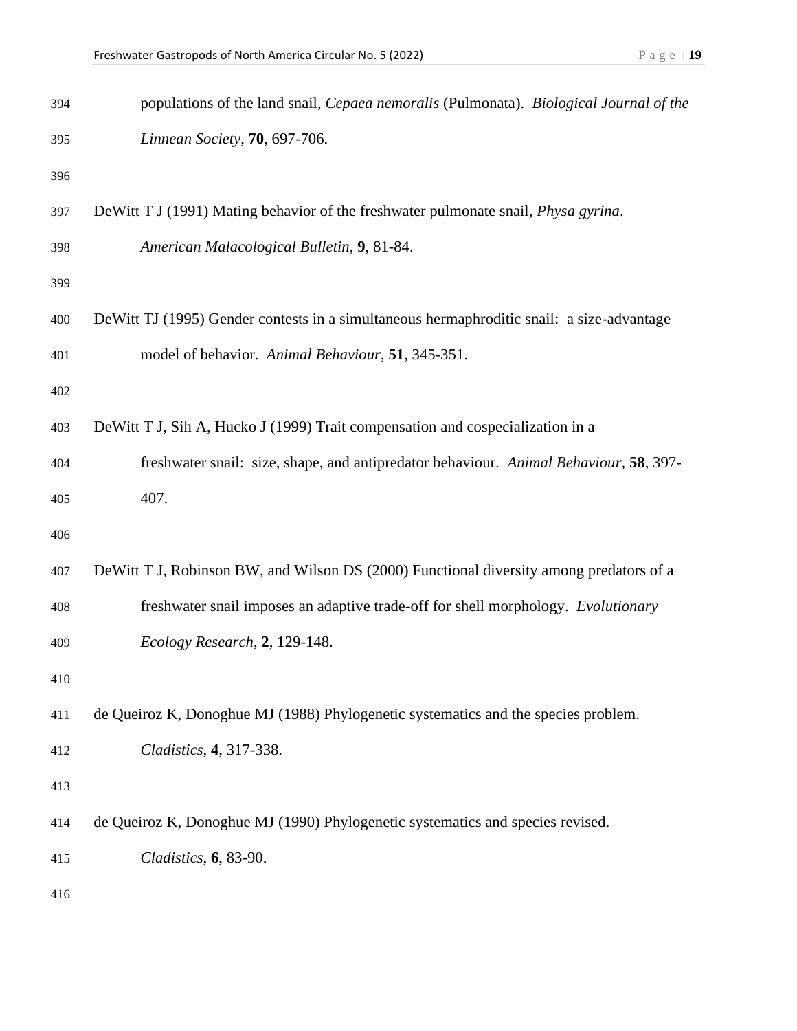| 394 | populations of the land snail, Cepaea nemoralis (Pulmonata). Biological Journal of the     |
|-----|--------------------------------------------------------------------------------------------|
| 395 | Linnean Society, 70, 697-706.                                                              |
| 396 |                                                                                            |
| 397 | DeWitt T J (1991) Mating behavior of the freshwater pulmonate snail, <i>Physa gyrina</i> . |
| 398 | American Malacological Bulletin, 9, 81-84.                                                 |
| 399 |                                                                                            |
| 400 | DeWitt TJ (1995) Gender contests in a simultaneous hermaphroditic snail: a size-advantage  |
| 401 | model of behavior. Animal Behaviour, 51, 345-351.                                          |
| 402 |                                                                                            |
| 403 | DeWitt T J, Sih A, Hucko J (1999) Trait compensation and cospecialization in a             |
| 404 | freshwater snail: size, shape, and antipredator behaviour. Animal Behaviour, 58, 397-      |
| 405 | 407.                                                                                       |
| 406 |                                                                                            |
| 407 | DeWitt T J, Robinson BW, and Wilson DS (2000) Functional diversity among predators of a    |
| 408 | freshwater snail imposes an adaptive trade-off for shell morphology. Evolutionary          |
| 409 | Ecology Research, 2, 129-148.                                                              |
| 410 |                                                                                            |
| 411 | de Queiroz K, Donoghue MJ (1988) Phylogenetic systematics and the species problem.         |
| 412 | Cladistics, 4, 317-338.                                                                    |
| 413 |                                                                                            |
| 414 | de Queiroz K, Donoghue MJ (1990) Phylogenetic systematics and species revised.             |
| 415 | Cladistics, 6, 83-90.                                                                      |
| 416 |                                                                                            |
|     |                                                                                            |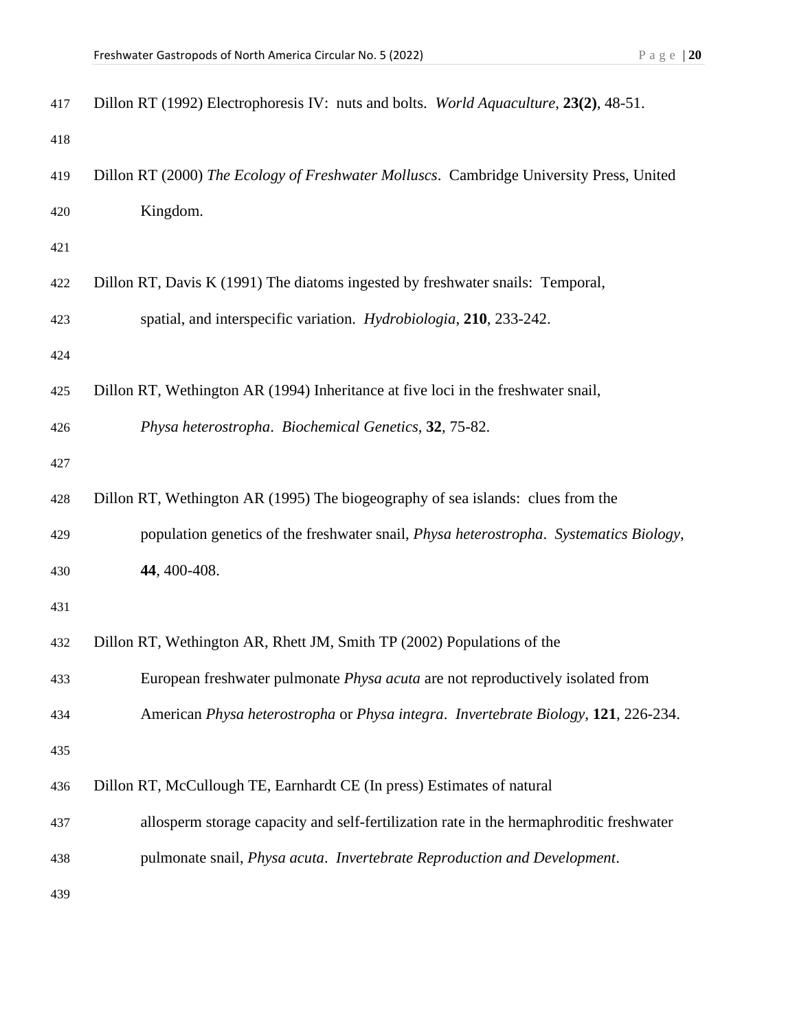| 417 | Dillon RT (1992) Electrophoresis IV: nuts and bolts. World Aquaculture, 23(2), 48-51.   |
|-----|-----------------------------------------------------------------------------------------|
| 418 |                                                                                         |
| 419 | Dillon RT (2000) The Ecology of Freshwater Molluscs. Cambridge University Press, United |
| 420 | Kingdom.                                                                                |
| 421 |                                                                                         |
| 422 | Dillon RT, Davis K (1991) The diatoms ingested by freshwater snails: Temporal,          |
| 423 | spatial, and interspecific variation. Hydrobiologia, 210, 233-242.                      |
| 424 |                                                                                         |
| 425 | Dillon RT, Wethington AR (1994) Inheritance at five loci in the freshwater snail,       |
| 426 | Physa heterostropha. Biochemical Genetics, 32, 75-82.                                   |
| 427 |                                                                                         |
| 428 | Dillon RT, Wethington AR (1995) The biogeography of sea islands: clues from the         |
| 429 | population genetics of the freshwater snail, Physa heterostropha. Systematics Biology,  |
| 430 | 44, 400-408.                                                                            |
| 431 |                                                                                         |
| 432 | Dillon RT, Wethington AR, Rhett JM, Smith TP (2002) Populations of the                  |
| 433 | European freshwater pulmonate <i>Physa acuta</i> are not reproductively isolated from   |
| 434 | American Physa heterostropha or Physa integra. Invertebrate Biology, 121, 226-234.      |
| 435 |                                                                                         |
| 436 | Dillon RT, McCullough TE, Earnhardt CE (In press) Estimates of natural                  |
| 437 | allosperm storage capacity and self-fertilization rate in the hermaphroditic freshwater |
| 438 | pulmonate snail, Physa acuta. Invertebrate Reproduction and Development.                |
| 439 |                                                                                         |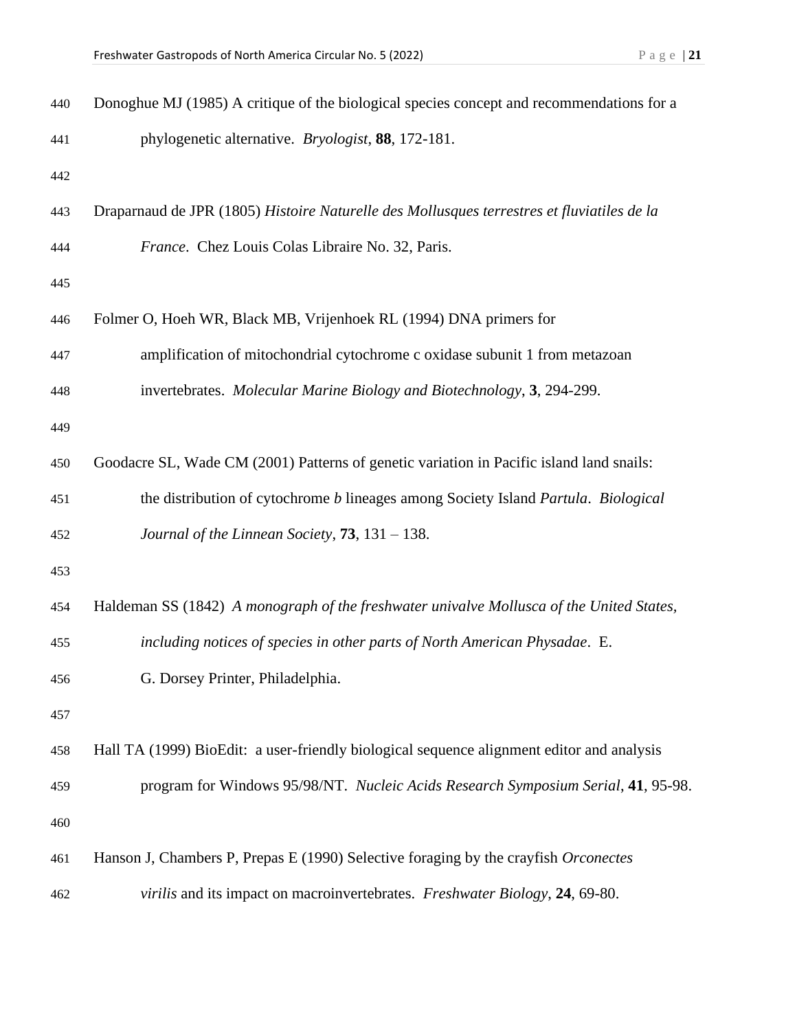| 440 | Donoghue MJ (1985) A critique of the biological species concept and recommendations for a  |
|-----|--------------------------------------------------------------------------------------------|
| 441 | phylogenetic alternative. <i>Bryologist</i> , 88, 172-181.                                 |
| 442 |                                                                                            |
| 443 | Draparnaud de JPR (1805) Histoire Naturelle des Mollusques terrestres et fluviatiles de la |
| 444 | France. Chez Louis Colas Libraire No. 32, Paris.                                           |
| 445 |                                                                                            |
| 446 | Folmer O, Hoeh WR, Black MB, Vrijenhoek RL (1994) DNA primers for                          |
| 447 | amplification of mitochondrial cytochrome c oxidase subunit 1 from metazoan                |
| 448 | invertebrates. Molecular Marine Biology and Biotechnology, 3, 294-299.                     |
| 449 |                                                                                            |
| 450 | Goodacre SL, Wade CM (2001) Patterns of genetic variation in Pacific island land snails:   |
| 451 | the distribution of cytochrome <i>b</i> lineages among Society Island Partula. Biological  |
| 452 | Journal of the Linnean Society, $73$ , $131 - 138$ .                                       |
| 453 |                                                                                            |
| 454 | Haldeman SS (1842) A monograph of the freshwater univalve Mollusca of the United States,   |
| 455 | including notices of species in other parts of North American Physadae. E.                 |
| 456 | G. Dorsey Printer, Philadelphia.                                                           |
| 457 |                                                                                            |
| 458 | Hall TA (1999) BioEdit: a user-friendly biological sequence alignment editor and analysis  |
| 459 | program for Windows 95/98/NT. Nucleic Acids Research Symposium Serial, 41, 95-98.          |
| 460 |                                                                                            |
| 461 | Hanson J, Chambers P, Prepas E (1990) Selective foraging by the crayfish Orconectes        |
| 462 | virilis and its impact on macroinvertebrates. Freshwater Biology, 24, 69-80.               |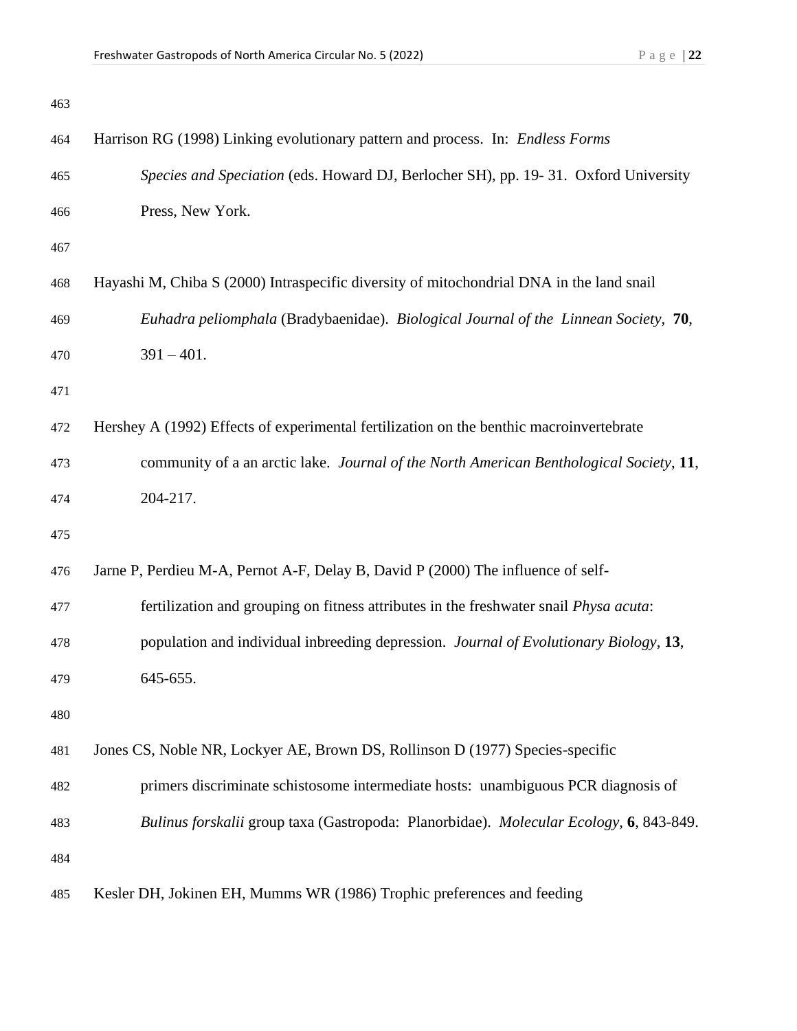| 463 |                                                                                               |
|-----|-----------------------------------------------------------------------------------------------|
| 464 | Harrison RG (1998) Linking evolutionary pattern and process. In: Endless Forms                |
| 465 | Species and Speciation (eds. Howard DJ, Berlocher SH), pp. 19-31. Oxford University           |
| 466 | Press, New York.                                                                              |
| 467 |                                                                                               |
| 468 | Hayashi M, Chiba S (2000) Intraspecific diversity of mitochondrial DNA in the land snail      |
| 469 | Euhadra peliomphala (Bradybaenidae). Biological Journal of the Linnean Society, 70,           |
| 470 | $391 - 401.$                                                                                  |
| 471 |                                                                                               |
| 472 | Hershey A (1992) Effects of experimental fertilization on the benthic macroinvertebrate       |
| 473 | community of a an arctic lake. Journal of the North American Benthological Society, 11,       |
| 474 | 204-217.                                                                                      |
| 475 |                                                                                               |
| 476 | Jarne P, Perdieu M-A, Pernot A-F, Delay B, David P (2000) The influence of self-              |
| 477 | fertilization and grouping on fitness attributes in the freshwater snail <i>Physa acuta</i> : |
| 478 | population and individual inbreeding depression. Journal of Evolutionary Biology, 13,         |
| 479 | 645-655.                                                                                      |
| 480 |                                                                                               |
| 481 | Jones CS, Noble NR, Lockyer AE, Brown DS, Rollinson D (1977) Species-specific                 |
| 482 | primers discriminate schistosome intermediate hosts: unambiguous PCR diagnosis of             |
| 483 | Bulinus forskalii group taxa (Gastropoda: Planorbidae). Molecular Ecology, 6, 843-849.        |
| 484 |                                                                                               |
| 485 | Kesler DH, Jokinen EH, Mumms WR (1986) Trophic preferences and feeding                        |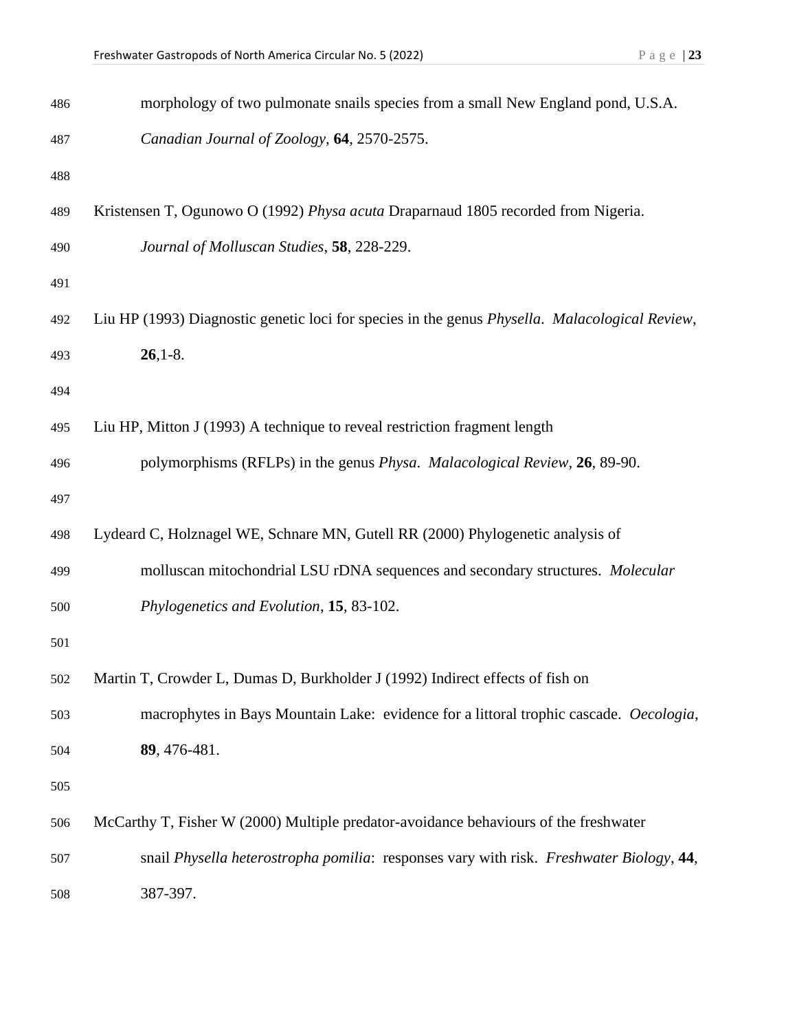| 486 | morphology of two pulmonate snails species from a small New England pond, U.S.A.                       |
|-----|--------------------------------------------------------------------------------------------------------|
| 487 | Canadian Journal of Zoology, 64, 2570-2575.                                                            |
| 488 |                                                                                                        |
| 489 | Kristensen T, Ogunowo O (1992) Physa acuta Draparnaud 1805 recorded from Nigeria.                      |
| 490 | Journal of Molluscan Studies, 58, 228-229.                                                             |
| 491 |                                                                                                        |
| 492 | Liu HP (1993) Diagnostic genetic loci for species in the genus <i>Physella. Malacological Review</i> , |
| 493 | $26,1-8.$                                                                                              |
| 494 |                                                                                                        |
| 495 | Liu HP, Mitton J (1993) A technique to reveal restriction fragment length                              |
| 496 | polymorphisms (RFLPs) in the genus <i>Physa. Malacological Review</i> , 26, 89-90.                     |
| 497 |                                                                                                        |
| 498 | Lydeard C, Holznagel WE, Schnare MN, Gutell RR (2000) Phylogenetic analysis of                         |
| 499 | molluscan mitochondrial LSU rDNA sequences and secondary structures. Molecular                         |
| 500 | Phylogenetics and Evolution, 15, 83-102.                                                               |
| 501 |                                                                                                        |
| 502 | Martin T, Crowder L, Dumas D, Burkholder J (1992) Indirect effects of fish on                          |
| 503 | macrophytes in Bays Mountain Lake: evidence for a littoral trophic cascade. Oecologia,                 |
| 504 | 89, 476-481.                                                                                           |
| 505 |                                                                                                        |
| 506 | McCarthy T, Fisher W (2000) Multiple predator-avoidance behaviours of the freshwater                   |
| 507 | snail Physella heterostropha pomilia: responses vary with risk. Freshwater Biology, 44,                |
| 508 | 387-397.                                                                                               |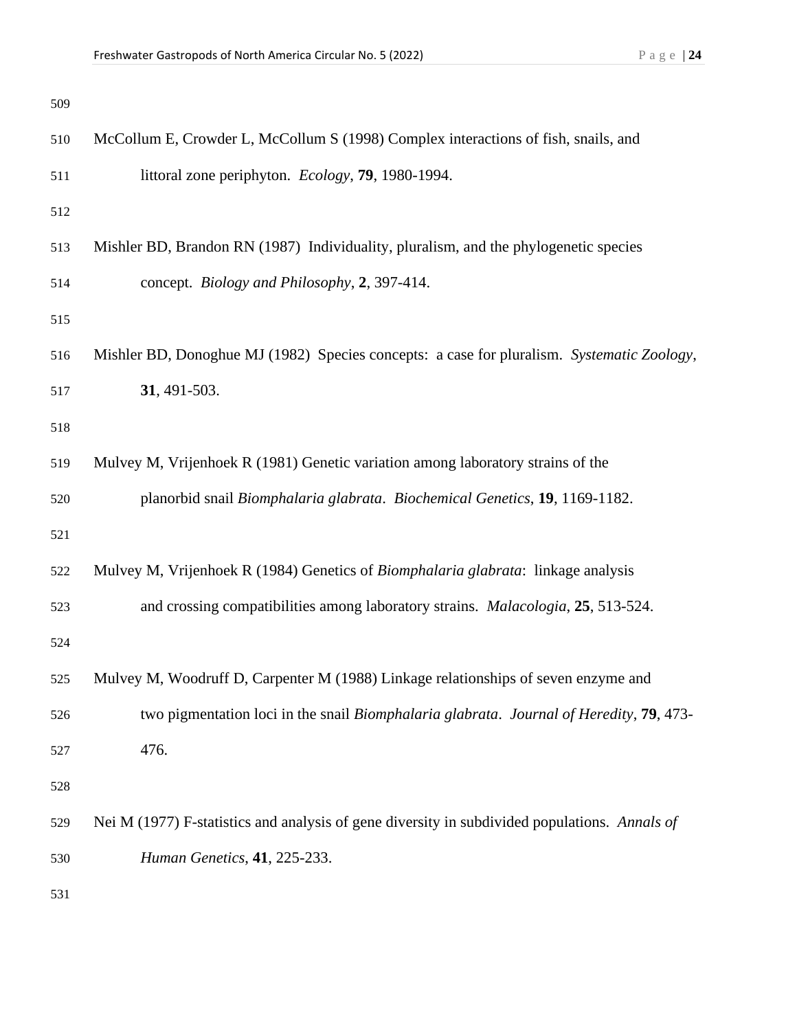| 509 |                                                                                               |
|-----|-----------------------------------------------------------------------------------------------|
| 510 | McCollum E, Crowder L, McCollum S (1998) Complex interactions of fish, snails, and            |
| 511 | littoral zone periphyton. Ecology, 79, 1980-1994.                                             |
| 512 |                                                                                               |
| 513 | Mishler BD, Brandon RN (1987) Individuality, pluralism, and the phylogenetic species          |
| 514 | concept. Biology and Philosophy, 2, 397-414.                                                  |
| 515 |                                                                                               |
| 516 | Mishler BD, Donoghue MJ (1982) Species concepts: a case for pluralism. Systematic Zoology,    |
| 517 | 31, 491-503.                                                                                  |
| 518 |                                                                                               |
| 519 | Mulvey M, Vrijenhoek R (1981) Genetic variation among laboratory strains of the               |
| 520 | planorbid snail Biomphalaria glabrata. Biochemical Genetics, 19, 1169-1182.                   |
| 521 |                                                                                               |
| 522 | Mulvey M, Vrijenhoek R (1984) Genetics of Biomphalaria glabrata: linkage analysis             |
| 523 | and crossing compatibilities among laboratory strains. <i>Malacologia</i> , 25, 513-524.      |
| 524 |                                                                                               |
| 525 | Mulvey M, Woodruff D, Carpenter M (1988) Linkage relationships of seven enzyme and            |
| 526 | two pigmentation loci in the snail Biomphalaria glabrata. Journal of Heredity, 79, 473-       |
| 527 | 476.                                                                                          |
| 528 |                                                                                               |
| 529 | Nei M (1977) F-statistics and analysis of gene diversity in subdivided populations. Annals of |
| 530 | Human Genetics, 41, 225-233.                                                                  |
| 531 |                                                                                               |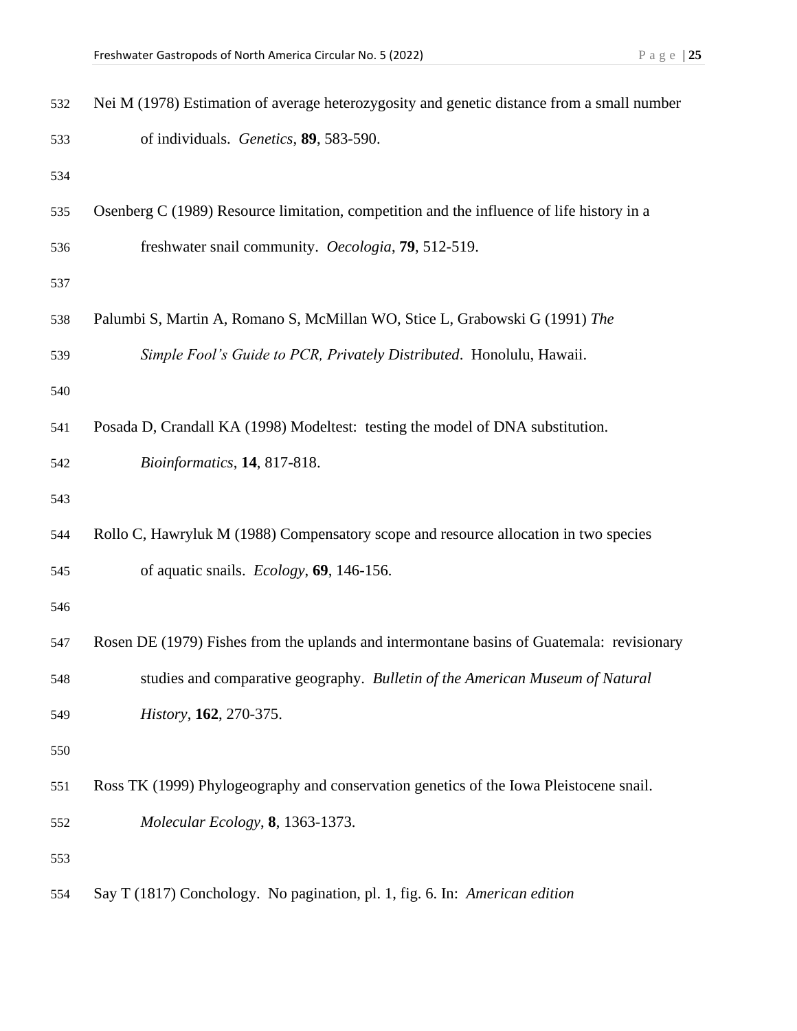| 532 | Nei M (1978) Estimation of average heterozygosity and genetic distance from a small number |
|-----|--------------------------------------------------------------------------------------------|
| 533 | of individuals. Genetics, 89, 583-590.                                                     |
| 534 |                                                                                            |
| 535 | Osenberg C (1989) Resource limitation, competition and the influence of life history in a  |
| 536 | freshwater snail community. Oecologia, 79, 512-519.                                        |
| 537 |                                                                                            |
| 538 | Palumbi S, Martin A, Romano S, McMillan WO, Stice L, Grabowski G (1991) The                |
| 539 | Simple Fool's Guide to PCR, Privately Distributed. Honolulu, Hawaii.                       |
| 540 |                                                                                            |
| 541 | Posada D, Crandall KA (1998) Modeltest: testing the model of DNA substitution.             |
| 542 | Bioinformatics, 14, 817-818.                                                               |
| 543 |                                                                                            |
| 544 | Rollo C, Hawryluk M (1988) Compensatory scope and resource allocation in two species       |
| 545 | of aquatic snails. Ecology, 69, 146-156.                                                   |
| 546 |                                                                                            |
| 547 | Rosen DE (1979) Fishes from the uplands and intermontane basins of Guatemala: revisionary  |
| 548 | studies and comparative geography. Bulletin of the American Museum of Natural              |
| 549 | History, 162, 270-375.                                                                     |
| 550 |                                                                                            |
| 551 | Ross TK (1999) Phylogeography and conservation genetics of the Iowa Pleistocene snail.     |
| 552 | Molecular Ecology, 8, 1363-1373.                                                           |
| 553 |                                                                                            |
| 554 | Say T (1817) Conchology. No pagination, pl. 1, fig. 6. In: American edition                |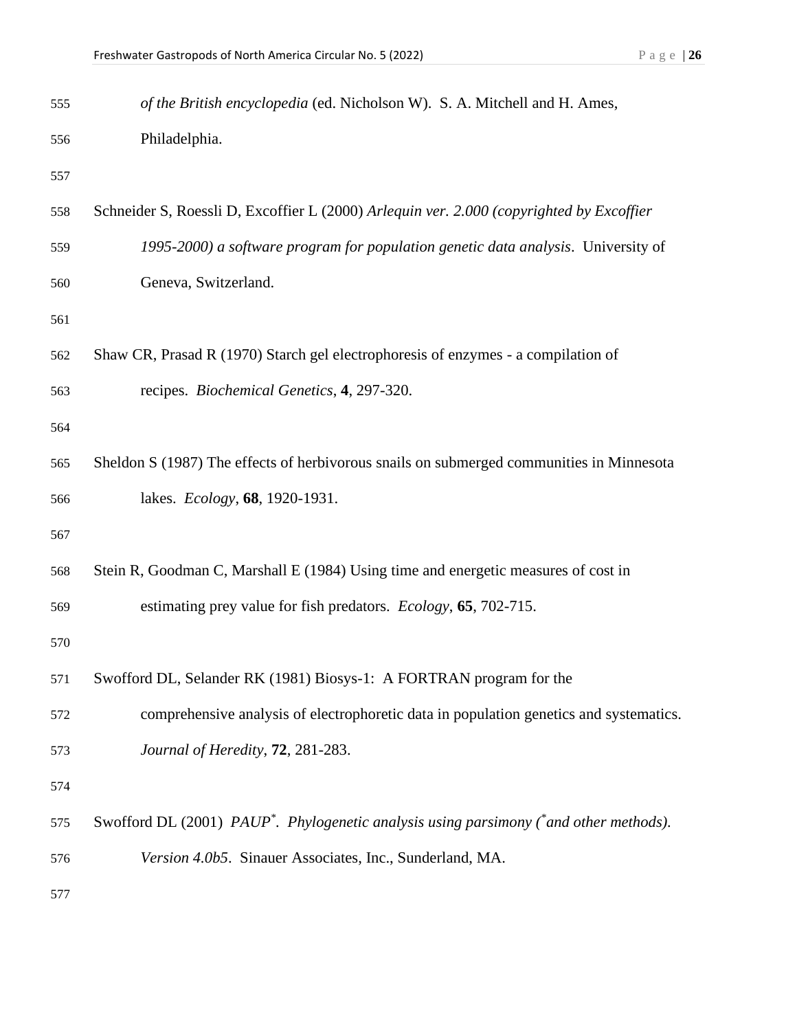| 555 | of the British encyclopedia (ed. Nicholson W). S. A. Mitchell and H. Ames,                         |
|-----|----------------------------------------------------------------------------------------------------|
| 556 | Philadelphia.                                                                                      |
| 557 |                                                                                                    |
| 558 | Schneider S, Roessli D, Excoffier L (2000) Arlequin ver. 2.000 (copyrighted by Excoffier           |
| 559 | 1995-2000) a software program for population genetic data analysis. University of                  |
| 560 | Geneva, Switzerland.                                                                               |
| 561 |                                                                                                    |
| 562 | Shaw CR, Prasad R (1970) Starch gel electrophoresis of enzymes - a compilation of                  |
| 563 | recipes. Biochemical Genetics, 4, 297-320.                                                         |
| 564 |                                                                                                    |
| 565 | Sheldon S (1987) The effects of herbivorous snails on submerged communities in Minnesota           |
| 566 | lakes. Ecology, 68, 1920-1931.                                                                     |
| 567 |                                                                                                    |
| 568 | Stein R, Goodman C, Marshall E (1984) Using time and energetic measures of cost in                 |
| 569 | estimating prey value for fish predators. <i>Ecology</i> , 65, 702-715.                            |
| 570 |                                                                                                    |
| 571 | Swofford DL, Selander RK (1981) Biosys-1: A FORTRAN program for the                                |
| 572 | comprehensive analysis of electrophoretic data in population genetics and systematics.             |
| 573 | Journal of Heredity, 72, 281-283.                                                                  |
| 574 |                                                                                                    |
| 575 | Swofford DL (2001) PAUP <sup>*</sup> . Phylogenetic analysis using parsimony (*and other methods). |
| 576 | Version 4.0b5. Sinauer Associates, Inc., Sunderland, MA.                                           |
| 577 |                                                                                                    |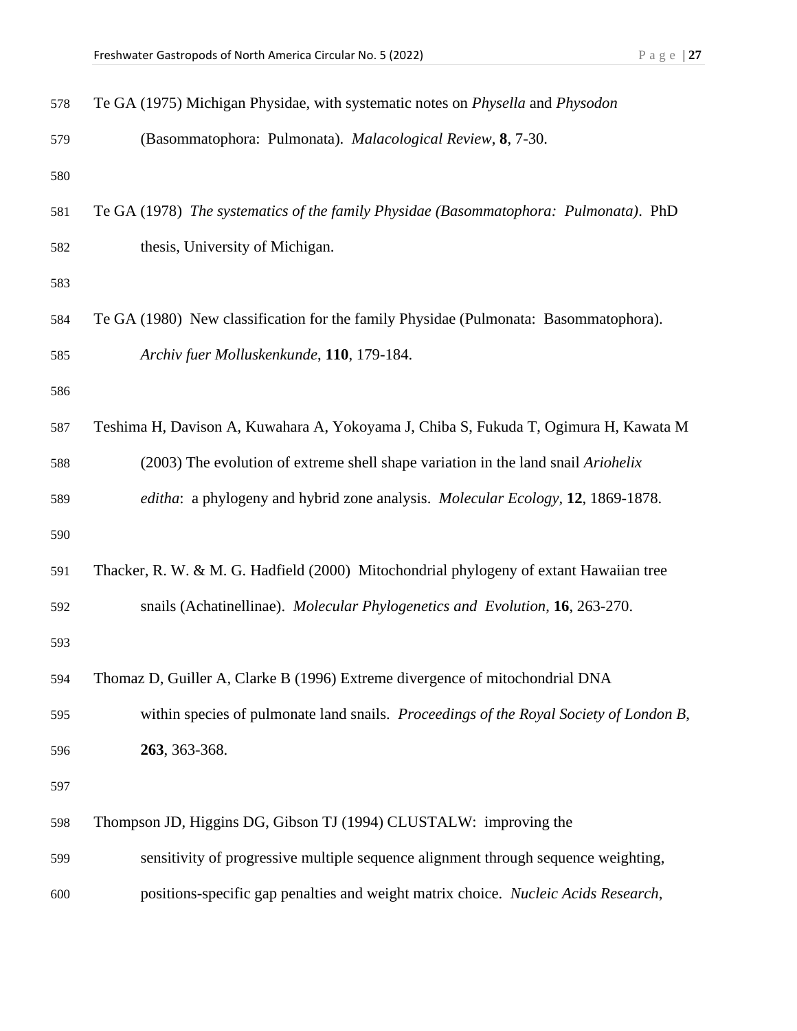| 578 | Te GA (1975) Michigan Physidae, with systematic notes on <i>Physella</i> and <i>Physodon</i> |
|-----|----------------------------------------------------------------------------------------------|
| 579 | (Basommatophora: Pulmonata). Malacological Review, 8, 7-30.                                  |
| 580 |                                                                                              |
| 581 | Te GA (1978) The systematics of the family Physidae (Basommatophora: Pulmonata). PhD         |
| 582 | thesis, University of Michigan.                                                              |
| 583 |                                                                                              |
| 584 | Te GA (1980) New classification for the family Physidae (Pulmonata: Basommatophora).         |
| 585 | Archiv fuer Molluskenkunde, 110, 179-184.                                                    |
| 586 |                                                                                              |
| 587 | Teshima H, Davison A, Kuwahara A, Yokoyama J, Chiba S, Fukuda T, Ogimura H, Kawata M         |
| 588 | (2003) The evolution of extreme shell shape variation in the land snail Ariohelix            |
| 589 | editha: a phylogeny and hybrid zone analysis. Molecular Ecology, 12, 1869-1878.              |
| 590 |                                                                                              |
| 591 | Thacker, R. W. & M. G. Hadfield (2000) Mitochondrial phylogeny of extant Hawaiian tree       |
| 592 | snails (Achatinellinae). Molecular Phylogenetics and Evolution, 16, 263-270.                 |
| 593 |                                                                                              |
| 594 | Thomaz D, Guiller A, Clarke B (1996) Extreme divergence of mitochondrial DNA                 |
| 595 | within species of pulmonate land snails. Proceedings of the Royal Society of London B,       |
| 596 | 263, 363-368.                                                                                |
| 597 |                                                                                              |
| 598 | Thompson JD, Higgins DG, Gibson TJ (1994) CLUSTALW: improving the                            |
| 599 | sensitivity of progressive multiple sequence alignment through sequence weighting,           |
| 600 | positions-specific gap penalties and weight matrix choice. Nucleic Acids Research,           |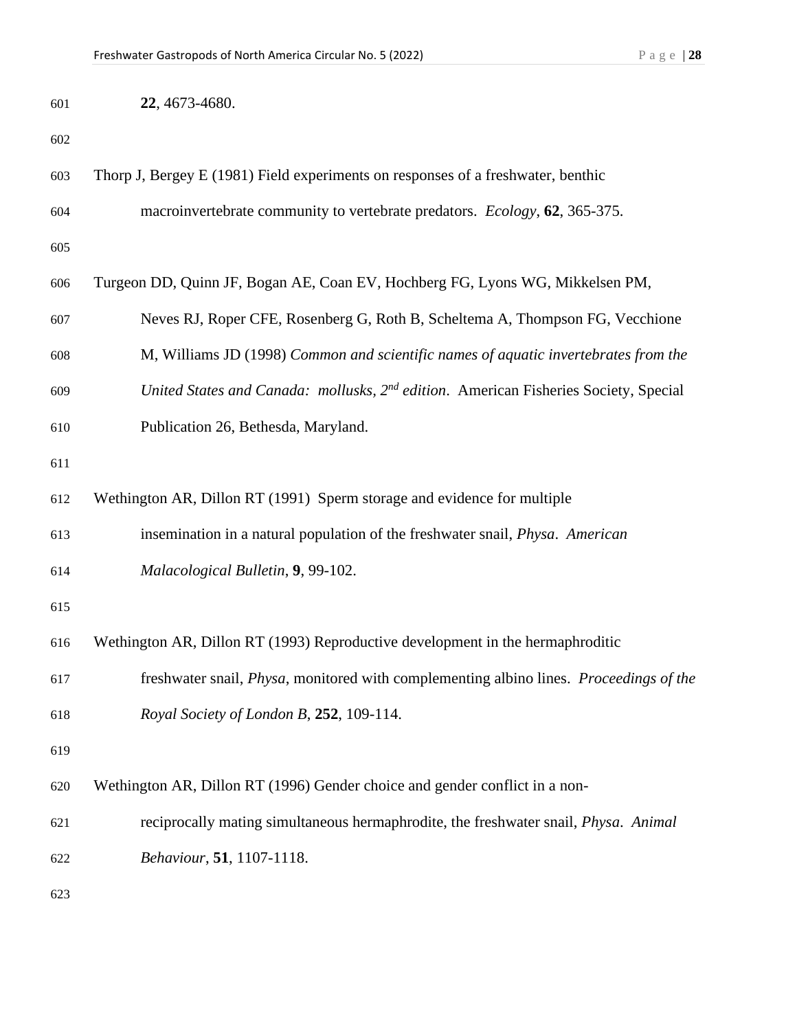| 601 | 22, 4673-4680.                                                                                   |
|-----|--------------------------------------------------------------------------------------------------|
| 602 |                                                                                                  |
| 603 | Thorp J, Bergey E (1981) Field experiments on responses of a freshwater, benthic                 |
| 604 | macroinvertebrate community to vertebrate predators. Ecology, 62, 365-375.                       |
| 605 |                                                                                                  |
| 606 | Turgeon DD, Quinn JF, Bogan AE, Coan EV, Hochberg FG, Lyons WG, Mikkelsen PM,                    |
| 607 | Neves RJ, Roper CFE, Rosenberg G, Roth B, Scheltema A, Thompson FG, Vecchione                    |
| 608 | M, Williams JD (1998) Common and scientific names of aquatic invertebrates from the              |
| 609 | United States and Canada: mollusks, 2 <sup>nd</sup> edition. American Fisheries Society, Special |
| 610 | Publication 26, Bethesda, Maryland.                                                              |
| 611 |                                                                                                  |
| 612 | Wethington AR, Dillon RT (1991) Sperm storage and evidence for multiple                          |
| 613 | insemination in a natural population of the freshwater snail, <i>Physa. American</i>             |
| 614 | Malacological Bulletin, 9, 99-102.                                                               |
| 615 |                                                                                                  |
| 616 | Wethington AR, Dillon RT (1993) Reproductive development in the hermaphroditic                   |
| 617 | freshwater snail, Physa, monitored with complementing albino lines. Proceedings of the           |
| 618 | Royal Society of London B, 252, 109-114.                                                         |
| 619 |                                                                                                  |
| 620 | Wethington AR, Dillon RT (1996) Gender choice and gender conflict in a non-                      |
| 621 | reciprocally mating simultaneous hermaphrodite, the freshwater snail, Physa. Animal              |
| 622 | Behaviour, 51, 1107-1118.                                                                        |
| 623 |                                                                                                  |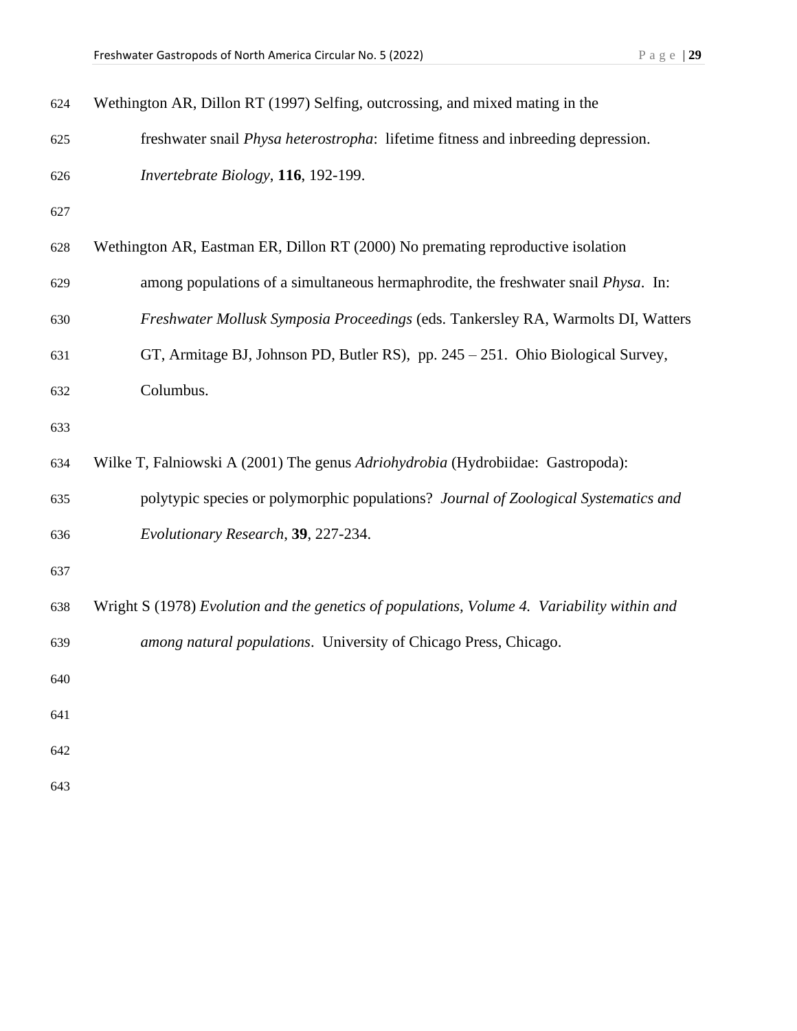| 624 | Wethington AR, Dillon RT (1997) Selfing, outcrossing, and mixed mating in the               |
|-----|---------------------------------------------------------------------------------------------|
| 625 | freshwater snail <i>Physa heterostropha</i> : lifetime fitness and inbreeding depression.   |
| 626 | Invertebrate Biology, 116, 192-199.                                                         |
| 627 |                                                                                             |
| 628 | Wethington AR, Eastman ER, Dillon RT (2000) No premating reproductive isolation             |
| 629 | among populations of a simultaneous hermaphrodite, the freshwater snail <i>Physa</i> . In:  |
| 630 | Freshwater Mollusk Symposia Proceedings (eds. Tankersley RA, Warmolts DI, Watters           |
| 631 | GT, Armitage BJ, Johnson PD, Butler RS), pp. 245 – 251. Ohio Biological Survey,             |
| 632 | Columbus.                                                                                   |
| 633 |                                                                                             |
| 634 | Wilke T, Falniowski A (2001) The genus Adriohydrobia (Hydrobiidae: Gastropoda):             |
| 635 | polytypic species or polymorphic populations? Journal of Zoological Systematics and         |
| 636 | Evolutionary Research, 39, 227-234.                                                         |
| 637 |                                                                                             |
| 638 | Wright S (1978) Evolution and the genetics of populations, Volume 4. Variability within and |
| 639 | among natural populations. University of Chicago Press, Chicago.                            |
| 640 |                                                                                             |
| 641 |                                                                                             |
| 642 |                                                                                             |
| 643 |                                                                                             |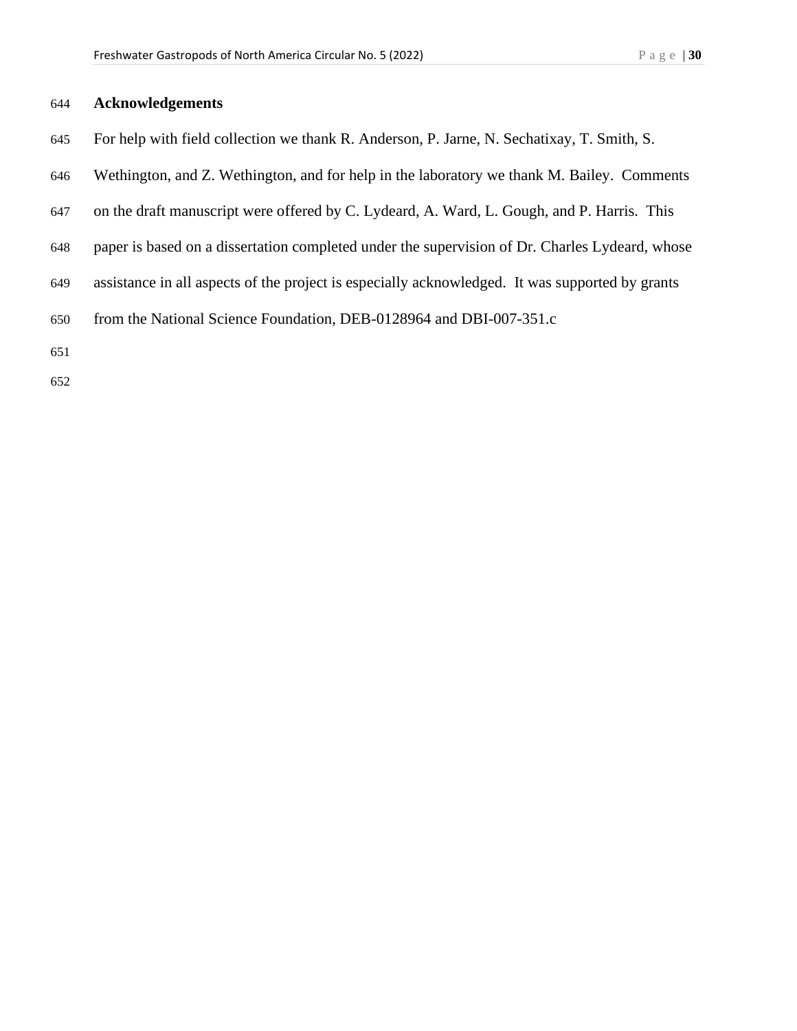## **Acknowledgements**

- For help with field collection we thank R. Anderson, P. Jarne, N. Sechatixay, T. Smith, S.
- Wethington, and Z. Wethington, and for help in the laboratory we thank M. Bailey. Comments
- on the draft manuscript were offered by C. Lydeard, A. Ward, L. Gough, and P. Harris. This
- paper is based on a dissertation completed under the supervision of Dr. Charles Lydeard, whose
- assistance in all aspects of the project is especially acknowledged. It was supported by grants
- from the National Science Foundation, DEB-0128964 and DBI-007-351.c
- 
-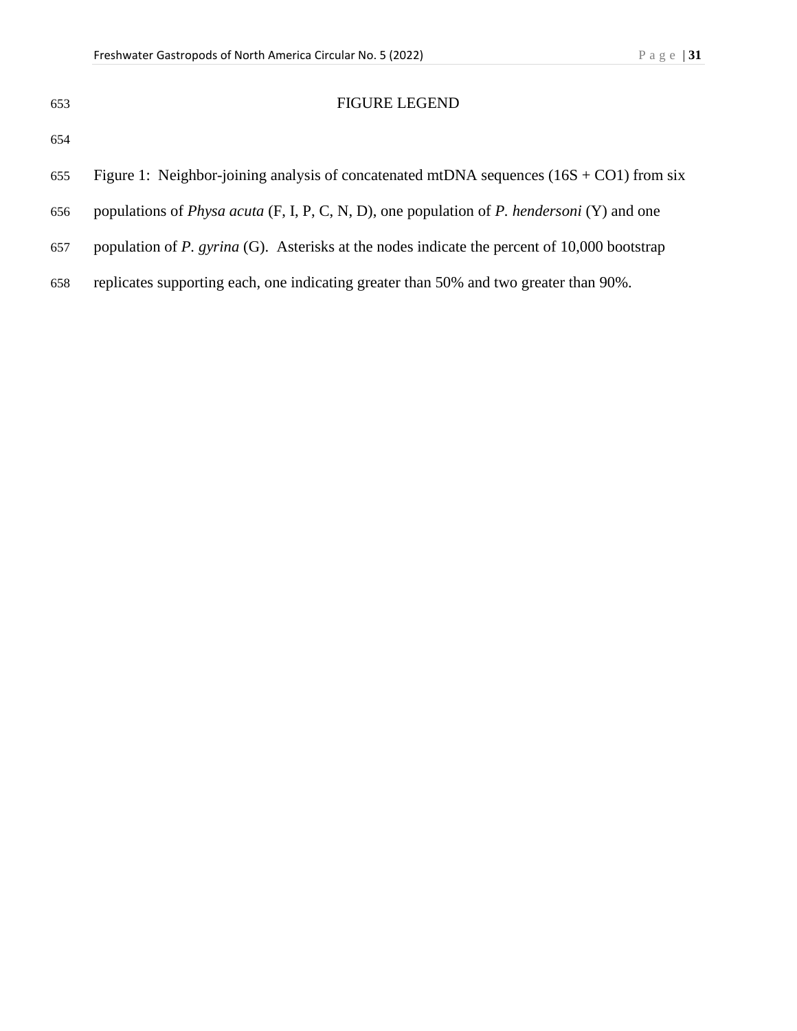| ۰.<br>٠<br>I<br>M.<br>٧<br>۰,<br>× | ۰,<br>٧<br>× |
|------------------------------------|--------------|

## FIGURE LEGEND

- 654
- 655 Figure 1: Neighbor-joining analysis of concatenated mtDNA sequences  $(16S + CO1)$  from six
- 656 populations of *Physa acuta* (F, I, P, C, N, D), one population of *P. hendersoni* (Y) and one
- 657 population of *P. gyrina* (G). Asterisks at the nodes indicate the percent of 10,000 bootstrap
- 658 replicates supporting each, one indicating greater than 50% and two greater than 90%.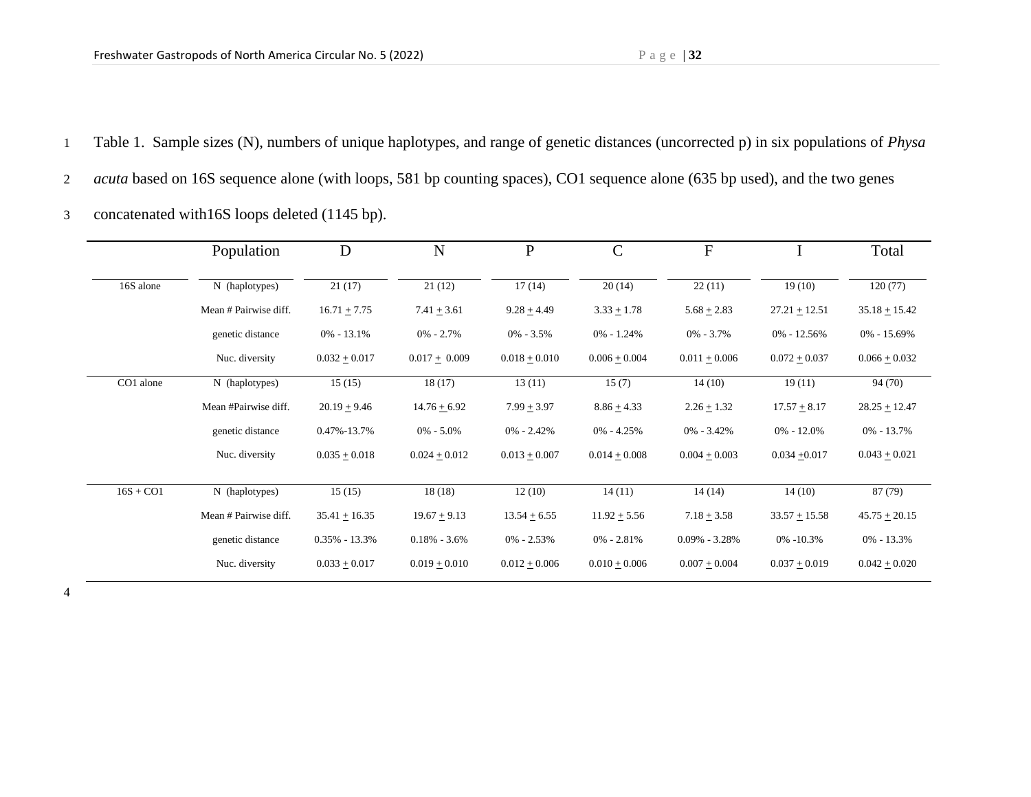1 Table 1. Sample sizes (N), numbers of unique haplotypes, and range of genetic distances (uncorrected p) in six populations of *Physa* 

2 *acuta* based on 16S sequence alone (with loops, 581 bp counting spaces), CO1 sequence alone (635 bp used), and the two genes

3 concatenated with16S loops deleted (1145 bp).

|             | Population            | D                 | $\mathbf N$      | $\overline{P}$   | $\mathbf C$     | F                 |                  | Total             |
|-------------|-----------------------|-------------------|------------------|------------------|-----------------|-------------------|------------------|-------------------|
| 16S alone   | N (haplotypes)        | 21(17)            | 21(12)           | 17(14)           | 20(14)          | 22(11)            | 19(10)           | 120(77)           |
|             | Mean # Pairwise diff. | $16.71 + 7.75$    | $7.41 + 3.61$    | $9.28 + 4.49$    | $3.33 + 1.78$   | $5.68 + 2.83$     | $27.21 + 12.51$  | $35.18 + 15.42$   |
|             | genetic distance      | $0\% - 13.1\%$    | $0\% - 2.7\%$    | $0\% - 3.5\%$    | $0\% - 1.24\%$  | $0\% - 3.7\%$     | $0\% - 12.56\%$  | $0\% - 15.69\%$   |
|             | Nuc. diversity        | $0.032 + 0.017$   | $0.017 + 0.009$  | $0.018 + 0.010$  | $0.006 + 0.004$ | $0.011 + 0.006$   | $0.072 + 0.037$  | $0.066 + 0.032$   |
| CO1 alone   | N (haplotypes)        | 15(15)            | 18(17)           | 13(11)           | 15(7)           | 14(10)            | 19(11)           | 94 (70)           |
|             | Mean #Pairwise diff.  | $20.19 + 9.46$    | $14.76 + 6.92$   | $7.99 + 3.97$    | $8.86 + 4.33$   | $2.26 + 1.32$     | $17.57 \pm 8.17$ | $28.25 + 12.47$   |
|             | genetic distance      | $0.47\% - 13.7\%$ | $0\% - 5.0\%$    | $0\% - 2.42\%$   | $0\% - 4.25\%$  | $0\% - 3.42\%$    | $0\% - 12.0\%$   | $0\% - 13.7\%$    |
|             | Nuc. diversity        | $0.035 + 0.018$   | $0.024 + 0.012$  | $0.013 + 0.007$  | $0.014 + 0.008$ | $0.004 + 0.003$   | $0.034 + 0.017$  | $0.043 + 0.021$   |
|             |                       |                   |                  |                  |                 |                   |                  |                   |
| $16S + CO1$ | N (haplotypes)        | 15(15)            | 18(18)           | 12(10)           | 14(11)          | 14(14)            | 14(10)           | 87 (79)           |
|             | Mean # Pairwise diff. | $35.41 + 16.35$   | $19.67 + 9.13$   | $13.54 \pm 6.55$ | $11.92 + 5.56$  | $7.18 + 3.58$     | $33.57 + 15.58$  | $45.75 \pm 20.15$ |
|             | genetic distance      | $0.35\% - 13.3\%$ | $0.18\% - 3.6\%$ | $0\% - 2.53\%$   | $0\% - 2.81\%$  | $0.09\% - 3.28\%$ | $0\% -10.3\%$    | $0\% - 13.3\%$    |
|             | Nuc. diversity        | $0.033 + 0.017$   | $0.019 + 0.010$  | $0.012 + 0.006$  | $0.010 + 0.006$ | $0.007 + 0.004$   | $0.037 + 0.019$  | $0.042 + 0.020$   |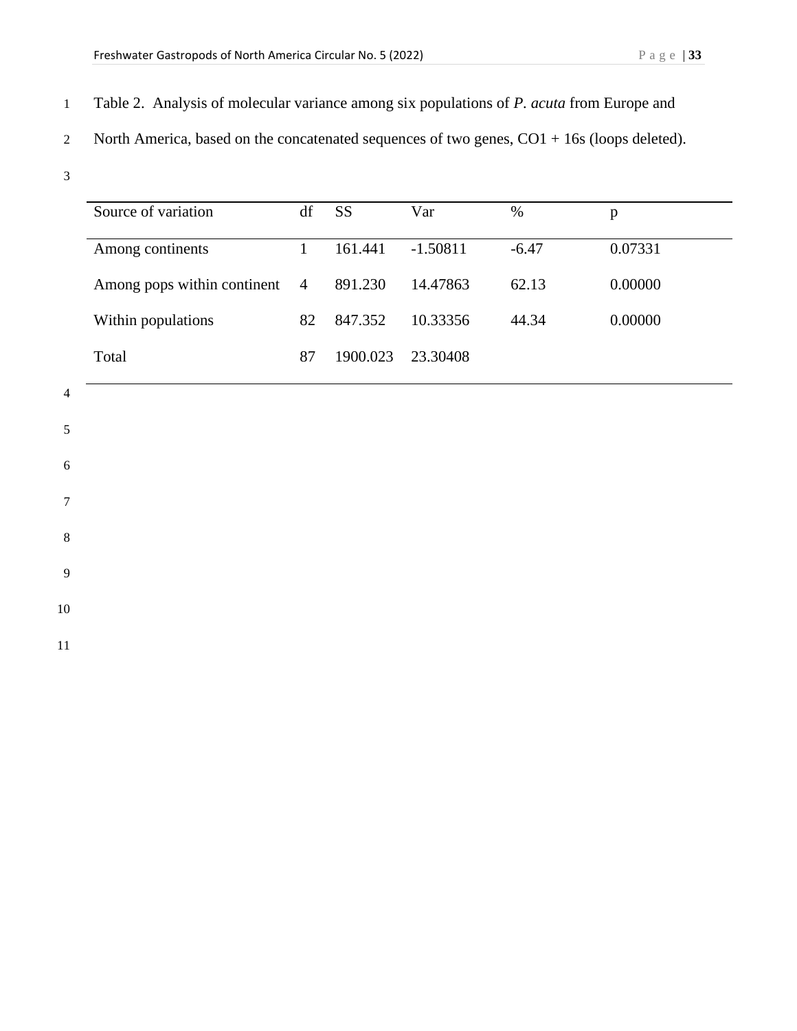- 1 Table 2. Analysis of molecular variance among six populations of *P. acuta* from Europe and
- 2 North America, based on the concatenated sequences of two genes,  $CO1 + 16s$  (loops deleted).
- 3

| Source of variation         | df             | SS       | Var        | $\%$    | p       |
|-----------------------------|----------------|----------|------------|---------|---------|
| Among continents            |                | 161.441  | $-1.50811$ | $-6.47$ | 0.07331 |
| Among pops within continent | $\overline{4}$ | 891.230  | 14.47863   | 62.13   | 0.00000 |
| Within populations          | 82             | 847.352  | 10.33356   | 44.34   | 0.00000 |
| Total                       | 87             | 1900.023 | 23.30408   |         |         |

- 4
- 

5

6

- 7
- 

8

9

10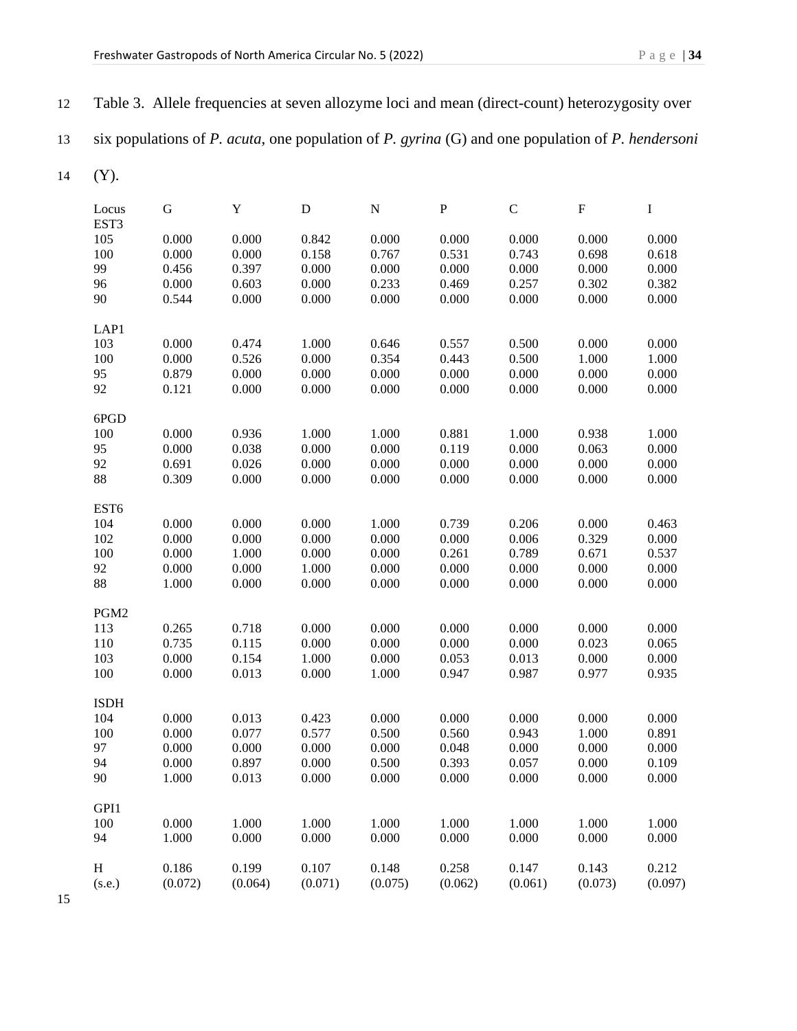|               | six populations of $P$ . acuta, one population of $P$ . gyrina $(G)$ and one population of $P$ . hendersoni |         |           |           |           |           |           |         |
|---------------|-------------------------------------------------------------------------------------------------------------|---------|-----------|-----------|-----------|-----------|-----------|---------|
| (Y).          |                                                                                                             |         |           |           |           |           |           |         |
| Locus<br>EST3 | G                                                                                                           | Y       | ${\bf D}$ | ${\bf N}$ | ${\bf P}$ | ${\bf C}$ | ${\bf F}$ | I       |
| 105           | 0.000                                                                                                       | 0.000   | 0.842     | 0.000     | 0.000     | 0.000     | 0.000     | 0.000   |
| 100           | 0.000                                                                                                       | 0.000   | 0.158     | 0.767     | 0.531     | 0.743     | 0.698     | 0.618   |
| 99            | 0.456                                                                                                       | 0.397   | 0.000     | 0.000     | 0.000     | 0.000     | 0.000     | 0.000   |
| 96            | 0.000                                                                                                       | 0.603   | 0.000     | 0.233     | 0.469     | 0.257     | 0.302     | 0.382   |
| 90            | 0.544                                                                                                       | 0.000   | 0.000     | 0.000     | 0.000     | 0.000     | 0.000     | 0.000   |
| LAP1          |                                                                                                             |         |           |           |           |           |           |         |
| 103           | 0.000                                                                                                       | 0.474   | 1.000     | 0.646     | 0.557     | 0.500     | 0.000     | 0.000   |
| 100           | 0.000                                                                                                       | 0.526   | 0.000     | 0.354     | 0.443     | 0.500     | 1.000     | 1.000   |
| 95            | 0.879                                                                                                       | 0.000   | 0.000     | 0.000     | 0.000     | 0.000     | 0.000     | 0.000   |
| 92            | 0.121                                                                                                       | 0.000   | 0.000     | 0.000     | 0.000     | 0.000     | 0.000     | 0.000   |
| 6PGD          |                                                                                                             |         |           |           |           |           |           |         |
| 100           | 0.000                                                                                                       | 0.936   | 1.000     | 1.000     | 0.881     | 1.000     | 0.938     | 1.000   |
| 95            | 0.000                                                                                                       | 0.038   | 0.000     | 0.000     | 0.119     | 0.000     | 0.063     | 0.000   |
| 92            | 0.691                                                                                                       | 0.026   | 0.000     | 0.000     | 0.000     | 0.000     | 0.000     | 0.000   |
| 88            | 0.309                                                                                                       | 0.000   | 0.000     | 0.000     | 0.000     | 0.000     | 0.000     | 0.000   |
| EST6          |                                                                                                             |         |           |           |           |           |           |         |
| 104           | 0.000                                                                                                       | 0.000   | 0.000     | 1.000     | 0.739     | 0.206     | 0.000     | 0.463   |
| 102           | 0.000                                                                                                       | 0.000   | 0.000     | 0.000     | 0.000     | 0.006     | 0.329     | 0.000   |
| $100\,$       | 0.000                                                                                                       | 1.000   | 0.000     | 0.000     | 0.261     | 0.789     | 0.671     | 0.537   |
| 92            | 0.000                                                                                                       | 0.000   | 1.000     | 0.000     | 0.000     | 0.000     | 0.000     | 0.000   |
| 88            | 1.000                                                                                                       | 0.000   | 0.000     | 0.000     | 0.000     | 0.000     | 0.000     | 0.000   |
| PGM2          |                                                                                                             |         |           |           |           |           |           |         |
| 113           | 0.265                                                                                                       | 0.718   | 0.000     | 0.000     | 0.000     | 0.000     | 0.000     | 0.000   |
| 110           | 0.735                                                                                                       | 0.115   | 0.000     | 0.000     | 0.000     | 0.000     | 0.023     | 0.065   |
| 103           | 0.000                                                                                                       | 0.154   | 1.000     | 0.000     | 0.053     | 0.013     | 0.000     | 0.000   |
| 100           | 0.000                                                                                                       | 0.013   | 0.000     | 1.000     | 0.947     | 0.987     | 0.977     | 0.935   |
| <b>ISDH</b>   |                                                                                                             |         |           |           |           |           |           |         |
| 104           | 0.000                                                                                                       | 0.013   | 0.423     | 0.000     | 0.000     | 0.000     | 0.000     | 0.000   |
| 100           | 0.000                                                                                                       | 0.077   | 0.577     | 0.500     | 0.560     | 0.943     | 1.000     | 0.891   |
| 97            | 0.000                                                                                                       | 0.000   | 0.000     | 0.000     | 0.048     | 0.000     | 0.000     | 0.000   |
| 94            | 0.000                                                                                                       | 0.897   | 0.000     | 0.500     | 0.393     | 0.057     | 0.000     | 0.109   |
| 90            | 1.000                                                                                                       | 0.013   | 0.000     | 0.000     | 0.000     | 0.000     | 0.000     | 0.000   |
| GPI1          |                                                                                                             |         |           |           |           |           |           |         |
| 100           | 0.000                                                                                                       | 1.000   | 1.000     | 1.000     | 1.000     | 1.000     | 1.000     | 1.000   |
| 94            | 1.000                                                                                                       | 0.000   | 0.000     | 0.000     | 0.000     | 0.000     | 0.000     | 0.000   |
| H             | 0.186                                                                                                       | 0.199   | 0.107     | 0.148     | 0.258     | 0.147     | 0.143     | 0.212   |
| (s.e.)        | (0.072)                                                                                                     | (0.064) | (0.071)   | (0.075)   | (0.062)   | (0.061)   | (0.073)   | (0.097) |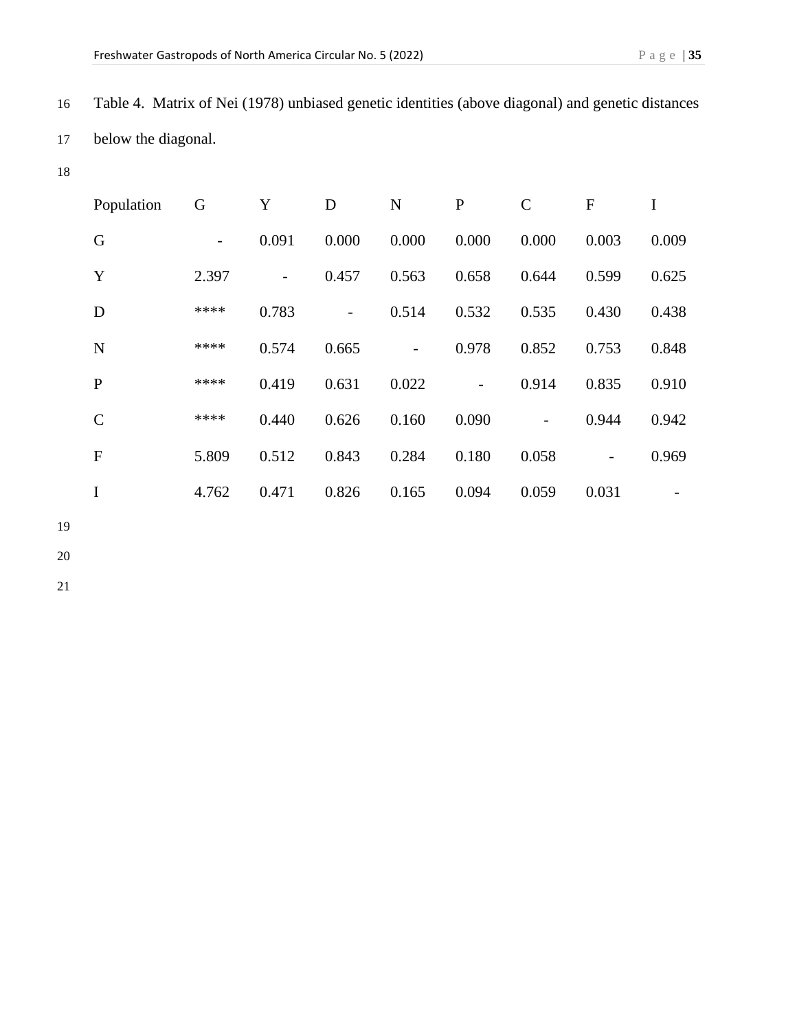16 Table 4. Matrix of Nei (1978) unbiased genetic identities (above diagonal) and genetic distances 17 below the diagonal.

18

| Population    | G     | Y                            | D     | N     | $\mathbf P$              | $\mathcal{C}$ | $\mathbf{F}$ | I     |
|---------------|-------|------------------------------|-------|-------|--------------------------|---------------|--------------|-------|
| G             | -     | 0.091                        | 0.000 | 0.000 | 0.000                    | 0.000         | 0.003        | 0.009 |
| Y             | 2.397 | $\qquad \qquad \blacksquare$ | 0.457 | 0.563 | 0.658                    | 0.644         | 0.599        | 0.625 |
| D             | ****  | 0.783                        |       | 0.514 | 0.532                    | 0.535         | 0.430        | 0.438 |
| $\mathbf N$   | ****  | 0.574                        | 0.665 |       | 0.978                    | 0.852         | 0.753        | 0.848 |
| $\mathbf{P}$  | ****  | 0.419                        | 0.631 | 0.022 | $\overline{\phantom{0}}$ | 0.914         | 0.835        | 0.910 |
| $\mathcal{C}$ | ****  | 0.440                        | 0.626 | 0.160 | 0.090                    |               | 0.944        | 0.942 |
| $\mathbf F$   | 5.809 | 0.512                        | 0.843 | 0.284 | 0.180                    | 0.058         |              | 0.969 |
| I             | 4.762 | 0.471                        | 0.826 | 0.165 | 0.094                    | 0.059         | 0.031        |       |

19

20